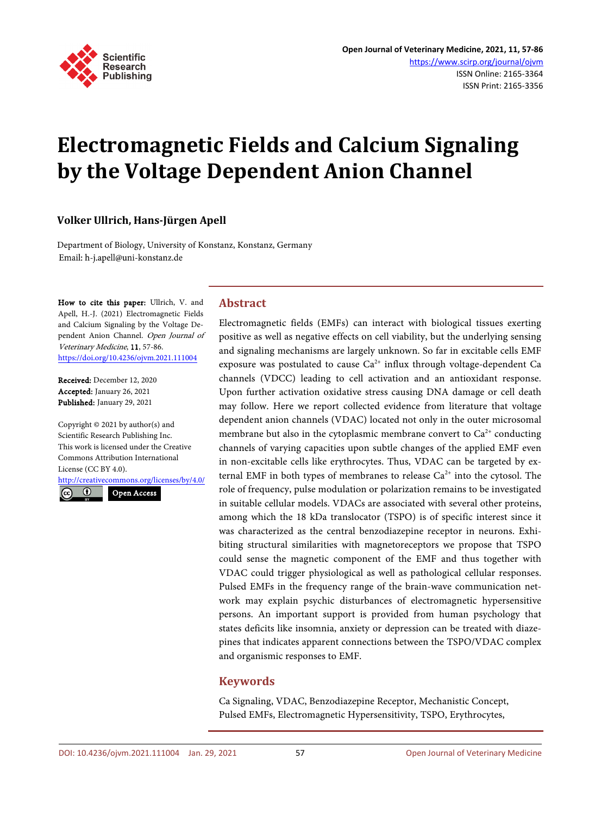

# **Electromagnetic Fields and Calcium Signaling by the Voltage Dependent Anion Channel**

# **Volker Ullrich, Hans-Jürgen Apell**

Department of Biology, University of Konstanz, Konstanz, Germany Email: h-j.apell@uni-konstanz.de

How to cite this paper: Ullrich, V. and Apell, H.-J. (2021) Electromagnetic Fields and Calcium Signaling by the Voltage Dependent Anion Channel. Open Journal of Veterinary Medicine, 11, 57-86. <https://doi.org/10.4236/ojvm.2021.111004>

Received: December 12, 2020 Accepted: January 26, 2021 Published: January 29, 2021

Copyright © 2021 by author(s) and Scientific Research Publishing Inc. This work is licensed under the Creative Commons Attribution International License (CC BY 4.0). <http://creativecommons.org/licenses/by/4.0/>  $\sqrt{c}$  $\odot$ Open Access

**Abstract**

Electromagnetic fields (EMFs) can interact with biological tissues exerting positive as well as negative effects on cell viability, but the underlying sensing and signaling mechanisms are largely unknown. So far in excitable cells EMF exposure was postulated to cause  $Ca^{2+}$  influx through voltage-dependent Ca channels (VDCC) leading to cell activation and an antioxidant response. Upon further activation oxidative stress causing DNA damage or cell death may follow. Here we report collected evidence from literature that voltage dependent anion channels (VDAC) located not only in the outer microsomal membrane but also in the cytoplasmic membrane convert to  $Ca<sup>2+</sup>$  conducting channels of varying capacities upon subtle changes of the applied EMF even in non-excitable cells like erythrocytes. Thus, VDAC can be targeted by external EMF in both types of membranes to release  $Ca<sup>2+</sup>$  into the cytosol. The role of frequency, pulse modulation or polarization remains to be investigated in suitable cellular models. VDACs are associated with several other proteins, among which the 18 kDa translocator (TSPO) is of specific interest since it was characterized as the central benzodiazepine receptor in neurons. Exhibiting structural similarities with magnetoreceptors we propose that TSPO could sense the magnetic component of the EMF and thus together with VDAC could trigger physiological as well as pathological cellular responses. Pulsed EMFs in the frequency range of the brain-wave communication network may explain psychic disturbances of electromagnetic hypersensitive persons. An important support is provided from human psychology that states deficits like insomnia, anxiety or depression can be treated with diazepines that indicates apparent connections between the TSPO/VDAC complex and organismic responses to EMF.

# **Keywords**

Ca Signaling, VDAC, Benzodiazepine Receptor, Mechanistic Concept, Pulsed EMFs, Electromagnetic Hypersensitivity, TSPO, Erythrocytes,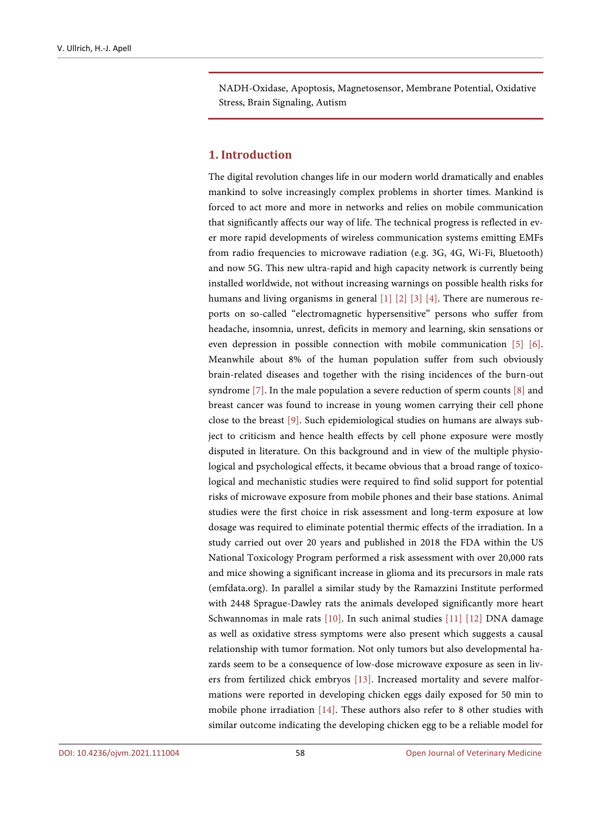NADH-Oxidase, Apoptosis, Magnetosensor, Membrane Potential, Oxidative Stress, Brain Signaling, Autism

# **1. Introduction**

The digital revolution changes life in our modern world dramatically and enables mankind to solve increasingly complex problems in shorter times. Mankind is forced to act more and more in networks and relies on mobile communication that significantly affects our way of life. The technical progress is reflected in ever more rapid developments of wireless communication systems emitting EMFs from radio frequencies to microwave radiation (e.g. 3G, 4G, Wi-Fi, Bluetooth) and now 5G. This new ultra-rapid and high capacity network is currently being installed worldwide, not without increasing warnings on possible health risks for humans and living organisms in general [\[1\]](#page-20-0) [\[2\]](#page-20-1) [\[3\]](#page-20-2) [\[4\].](#page-20-3) There are numerous reports on so-called "electromagnetic hypersensitive" persons who suffer from headache, insomnia, unrest, deficits in memory and learning, skin sensations or even depression in possible connection with mobile communication [\[5\]](#page-20-4) [\[6\].](#page-20-5)  Meanwhile about 8% of the human population suffer from such obviously brain-related diseases and together with the rising incidences of the burn-out syndrome [\[7\].](#page-20-6) In the male population a severe reduction of sperm counts [\[8\]](#page-21-0) and breast cancer was found to increase in young women carrying their cell phone close to the breast [\[9\].](#page-21-1) Such epidemiological studies on humans are always subject to criticism and hence health effects by cell phone exposure were mostly disputed in literature. On this background and in view of the multiple physiological and psychological effects, it became obvious that a broad range of toxicological and mechanistic studies were required to find solid support for potential risks of microwave exposure from mobile phones and their base stations. Animal studies were the first choice in risk assessment and long-term exposure at low dosage was required to eliminate potential thermic effects of the irradiation. In a study carried out over 20 years and published in 2018 the FDA within the US National Toxicology Program performed a risk assessment with over 20,000 rats and mice showing a significant increase in glioma and its precursors in male rats (emfdata.org). In parallel a similar study by the Ramazzini Institute performed with 2448 Sprague-Dawley rats the animals developed significantly more heart Schwannomas in male rats [\[10\].](#page-21-2) In such animal studies [\[11\]](#page-21-3) [\[12\]](#page-21-4) DNA damage as well as oxidative stress symptoms were also present which suggests a causal relationship with tumor formation. Not only tumors but also developmental hazards seem to be a consequence of low-dose microwave exposure as seen in livers from fertilized chick embryos [\[13\].](#page-21-5) Increased mortality and severe malformations were reported in developing chicken eggs daily exposed for 50 min to mobile phone irradiation [\[14\].](#page-21-6) These authors also refer to 8 other studies with similar outcome indicating the developing chicken egg to be a reliable model for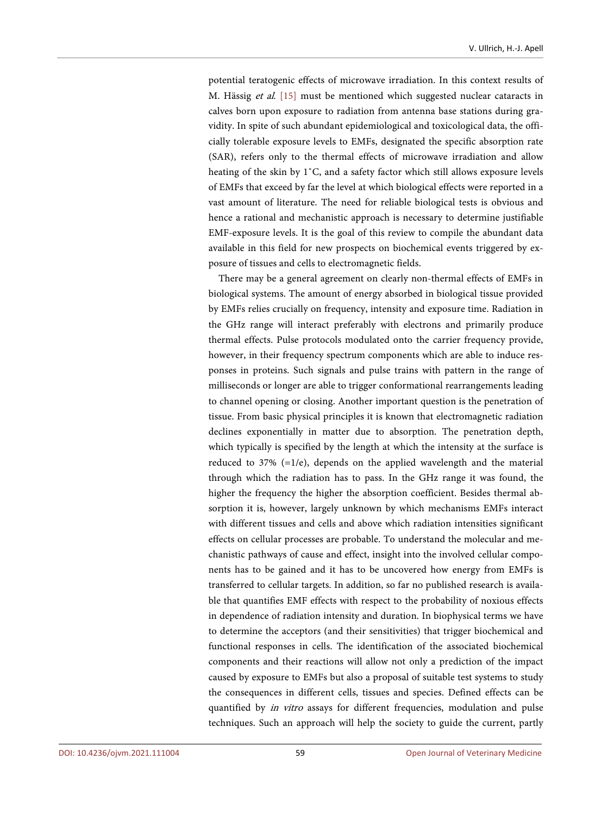potential teratogenic effects of microwave irradiation. In this context results of M. Hässig et al. [\[15\]](#page-21-7) must be mentioned which suggested nuclear cataracts in calves born upon exposure to radiation from antenna base stations during gravidity. In spite of such abundant epidemiological and toxicological data, the officially tolerable exposure levels to EMFs, designated the specific absorption rate (SAR), refers only to the thermal effects of microwave irradiation and allow heating of the skin by 1˚C, and a safety factor which still allows exposure levels of EMFs that exceed by far the level at which biological effects were reported in a vast amount of literature. The need for reliable biological tests is obvious and hence a rational and mechanistic approach is necessary to determine justifiable EMF-exposure levels. It is the goal of this review to compile the abundant data available in this field for new prospects on biochemical events triggered by exposure of tissues and cells to electromagnetic fields.

There may be a general agreement on clearly non-thermal effects of EMFs in biological systems. The amount of energy absorbed in biological tissue provided by EMFs relies crucially on frequency, intensity and exposure time. Radiation in the GHz range will interact preferably with electrons and primarily produce thermal effects. Pulse protocols modulated onto the carrier frequency provide, however, in their frequency spectrum components which are able to induce responses in proteins. Such signals and pulse trains with pattern in the range of milliseconds or longer are able to trigger conformational rearrangements leading to channel opening or closing. Another important question is the penetration of tissue. From basic physical principles it is known that electromagnetic radiation declines exponentially in matter due to absorption. The penetration depth, which typically is specified by the length at which the intensity at the surface is reduced to 37% (=1/e), depends on the applied wavelength and the material through which the radiation has to pass. In the GHz range it was found, the higher the frequency the higher the absorption coefficient. Besides thermal absorption it is, however, largely unknown by which mechanisms EMFs interact with different tissues and cells and above which radiation intensities significant effects on cellular processes are probable. To understand the molecular and mechanistic pathways of cause and effect, insight into the involved cellular components has to be gained and it has to be uncovered how energy from EMFs is transferred to cellular targets. In addition, so far no published research is available that quantifies EMF effects with respect to the probability of noxious effects in dependence of radiation intensity and duration. In biophysical terms we have to determine the acceptors (and their sensitivities) that trigger biochemical and functional responses in cells. The identification of the associated biochemical components and their reactions will allow not only a prediction of the impact caused by exposure to EMFs but also a proposal of suitable test systems to study the consequences in different cells, tissues and species. Defined effects can be quantified by in vitro assays for different frequencies, modulation and pulse techniques. Such an approach will help the society to guide the current, partly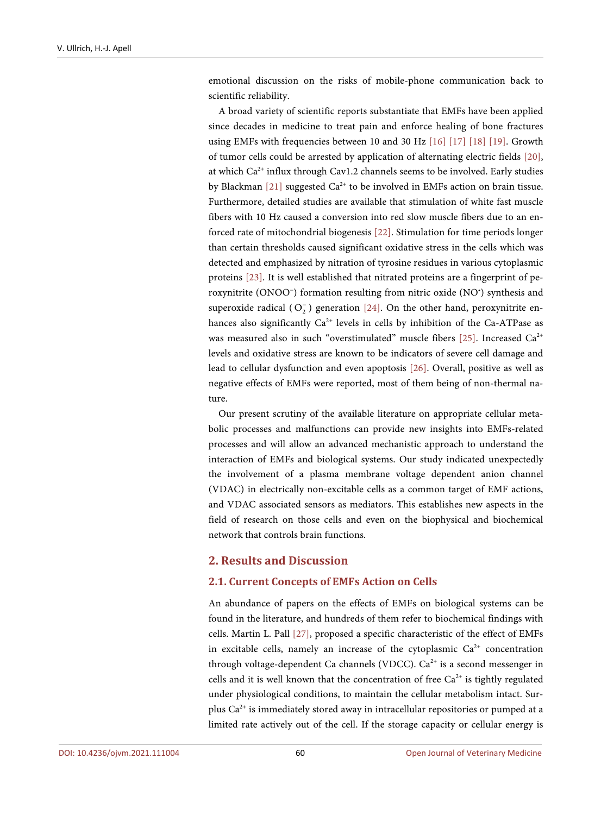emotional discussion on the risks of mobile-phone communication back to scientific reliability.

A broad variety of scientific reports substantiate that EMFs have been applied since decades in medicine to treat pain and enforce healing of bone fractures using EMFs with frequencies between 10 and 30 Hz [\[16\]](#page-21-8) [\[17\]](#page-21-9) [\[18\]](#page-21-10) [\[19\].](#page-21-11) Growth of tumor cells could be arrested by application of alternating electric fields [\[20\],](#page-22-0)  at which  $Ca^{2+}$  influx through  $Cav1.2$  channels seems to be involved. Early studies by Blackman [\[21\]](#page-22-1) suggested  $Ca^{2+}$  to be involved in EMFs action on brain tissue. Furthermore, detailed studies are available that stimulation of white fast muscle fibers with 10 Hz caused a conversion into red slow muscle fibers due to an enforced rate of mitochondrial biogenesis [\[22\].](#page-22-2) Stimulation for time periods longer than certain thresholds caused significant oxidative stress in the cells which was detected and emphasized by nitration of tyrosine residues in various cytoplasmic proteins [\[23\].](#page-22-3) It is well established that nitrated proteins are a fingerprint of peroxynitrite (ONOO<sup>-</sup>) formation resulting from nitric oxide (NO<sup>•</sup>) synthesis and superoxide radical  $(O_2^-)$  generation [\[24\].](#page-22-4) On the other hand, peroxynitrite enhances also significantly  $Ca^{2+}$  levels in cells by inhibition of the Ca-ATPase as was measured also in such "overstimulated" muscle fibers [\[25\].](#page-22-5) Increased  $Ca^{2+}$ levels and oxidative stress are known to be indicators of severe cell damage and lead to cellular dysfunction and even apoptosis [\[26\].](#page-22-6) Overall, positive as well as negative effects of EMFs were reported, most of them being of non-thermal nature.

Our present scrutiny of the available literature on appropriate cellular metabolic processes and malfunctions can provide new insights into EMFs-related processes and will allow an advanced mechanistic approach to understand the interaction of EMFs and biological systems. Our study indicated unexpectedly the involvement of a plasma membrane voltage dependent anion channel (VDAC) in electrically non-excitable cells as a common target of EMF actions, and VDAC associated sensors as mediators. This establishes new aspects in the field of research on those cells and even on the biophysical and biochemical network that controls brain functions.

### **2. Results and Discussion**

#### **2.1. Current Concepts of EMFs Action on Cells**

An abundance of papers on the effects of EMFs on biological systems can be found in the literature, and hundreds of them refer to biochemical findings with cells. Martin L. Pall [\[27\],](#page-22-7) proposed a specific characteristic of the effect of EMFs in excitable cells, namely an increase of the cytoplasmic  $Ca<sup>2+</sup>$  concentration through voltage-dependent Ca channels (VDCC).  $Ca^{2+}$  is a second messenger in cells and it is well known that the concentration of free  $Ca^{2+}$  is tightly regulated under physiological conditions, to maintain the cellular metabolism intact. Surplus  $Ca<sup>2+</sup>$  is immediately stored away in intracellular repositories or pumped at a limited rate actively out of the cell. If the storage capacity or cellular energy is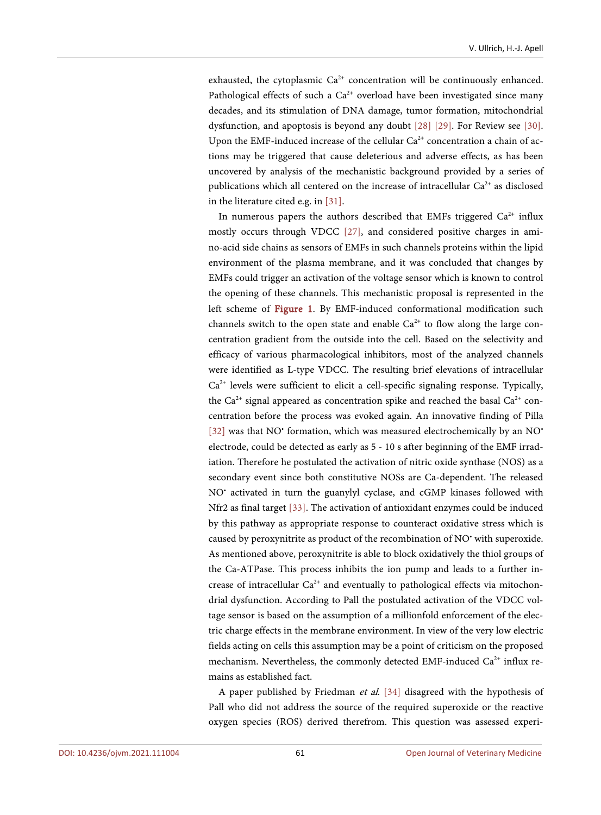exhausted, the cytoplasmic  $Ca^{2+}$  concentration will be continuously enhanced. Pathological effects of such a  $Ca^{2+}$  overload have been investigated since many decades, and its stimulation of DNA damage, tumor formation, mitochondrial dysfunction, and apoptosis is beyond any doubt [\[28\]](#page-22-8) [\[29\].](#page-22-9) For Review see [\[30\].](#page-22-10)  Upon the EMF-induced increase of the cellular  $Ca^{2+}$  concentration a chain of actions may be triggered that cause deleterious and adverse effects, as has been uncovered by analysis of the mechanistic background provided by a series of publications which all centered on the increase of intracellular  $Ca<sup>2+</sup>$  as disclosed in the literature cited e.g. in [\[31\].](#page-22-11)

In numerous papers the authors described that EMFs triggered  $Ca<sup>2+</sup>$  influx mostly occurs through VDCC [\[27\],](#page-22-7) and considered positive charges in amino-acid side chains as sensors of EMFs in such channels proteins within the lipid environment of the plasma membrane, and it was concluded that changes by EMFs could trigger an activation of the voltage sensor which is known to control the opening of these channels. This mechanistic proposal is represented in the left scheme of [Figure 1.](#page-5-0) By EMF-induced conformational modification such channels switch to the open state and enable  $Ca^{2+}$  to flow along the large concentration gradient from the outside into the cell. Based on the selectivity and efficacy of various pharmacological inhibitors, most of the analyzed channels were identified as L-type VDCC. The resulting brief elevations of intracellular  $Ca<sup>2+</sup>$  levels were sufficient to elicit a cell-specific signaling response. Typically, the Ca<sup>2+</sup> signal appeared as concentration spike and reached the basal Ca<sup>2+</sup> concentration before the process was evoked again. An innovative finding of Pilla [\[32\]](#page-22-12) was that NO<sup>•</sup> formation, which was measured electrochemically by an NO<sup>•</sup> electrode, could be detected as early as 5 - 10 s after beginning of the EMF irradiation. Therefore he postulated the activation of nitric oxide synthase (NOS) as a secondary event since both constitutive NOSs are Ca-dependent. The released NO• activated in turn the guanylyl cyclase, and cGMP kinases followed with Nfr2 as final target [\[33\].](#page-22-13) The activation of antioxidant enzymes could be induced by this pathway as appropriate response to counteract oxidative stress which is caused by peroxynitrite as product of the recombination of NO<sup>•</sup> with superoxide. As mentioned above, peroxynitrite is able to block oxidatively the thiol groups of the Ca-ATPase. This process inhibits the ion pump and leads to a further increase of intracellular  $Ca^{2+}$  and eventually to pathological effects via mitochondrial dysfunction. According to Pall the postulated activation of the VDCC voltage sensor is based on the assumption of a millionfold enforcement of the electric charge effects in the membrane environment. In view of the very low electric fields acting on cells this assumption may be a point of criticism on the proposed mechanism. Nevertheless, the commonly detected EMF-induced Ca<sup>2+</sup> influx remains as established fact.

A paper published by Friedman et al. [\[34\]](#page-23-0) disagreed with the hypothesis of Pall who did not address the source of the required superoxide or the reactive oxygen species (ROS) derived therefrom. This question was assessed experi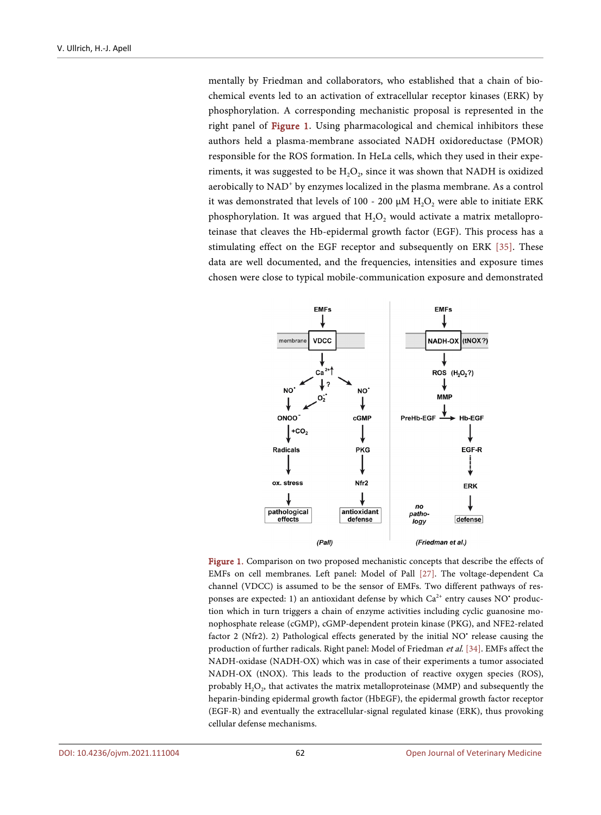mentally by Friedman and collaborators, who established that a chain of biochemical events led to an activation of extracellular receptor kinases (ERK) by phosphorylation. A corresponding mechanistic proposal is represented in the right panel of [Figure 1.](#page-5-0) Using pharmacological and chemical inhibitors these authors held a plasma-membrane associated NADH oxidoreductase (PMOR) responsible for the ROS formation. In HeLa cells, which they used in their experiments, it was suggested to be  $H_2O_2$ , since it was shown that NADH is oxidized aerobically to NAD<sup>+</sup> by enzymes localized in the plasma membrane. As a control it was demonstrated that levels of 100 - 200  $\mu$ M H<sub>2</sub>O<sub>2</sub> were able to initiate ERK phosphorylation. It was argued that  $H_2O_2$  would activate a matrix metalloproteinase that cleaves the Hb-epidermal growth factor (EGF). This process has a stimulating effect on the EGF receptor and subsequently on ERK [\[35\].](#page-23-1) These data are well documented, and the frequencies, intensities and exposure times chosen were close to typical mobile-communication exposure and demonstrated

<span id="page-5-0"></span>

Figure 1. Comparison on two proposed mechanistic concepts that describe the effects of EMFs on cell membranes. Left panel: Model of Pall [\[27\].](#page-22-7) The voltage-dependent Ca channel (VDCC) is assumed to be the sensor of EMFs. Two different pathways of responses are expected: 1) an antioxidant defense by which  $Ca<sup>2+</sup>$  entry causes NO<sup>•</sup> production which in turn triggers a chain of enzyme activities including cyclic guanosine monophosphate release (cGMP), cGMP-dependent protein kinase (PKG), and NFE2-related factor 2 (Nfr2). 2) Pathological effects generated by the initial NO• release causing the production of further radicals. Right panel: Model of Friedman et al[. \[34\].](#page-23-0) EMFs affect the NADH-oxidase (NADH-OX) which was in case of their experiments a tumor associated NADH-OX (tNOX). This leads to the production of reactive oxygen species (ROS), probably  $H_2O_2$ , that activates the matrix metalloproteinase (MMP) and subsequently the heparin-binding epidermal growth factor (HbEGF), the epidermal growth factor receptor (EGF-R) and eventually the extracellular-signal regulated kinase (ERK), thus provoking cellular defense mechanisms.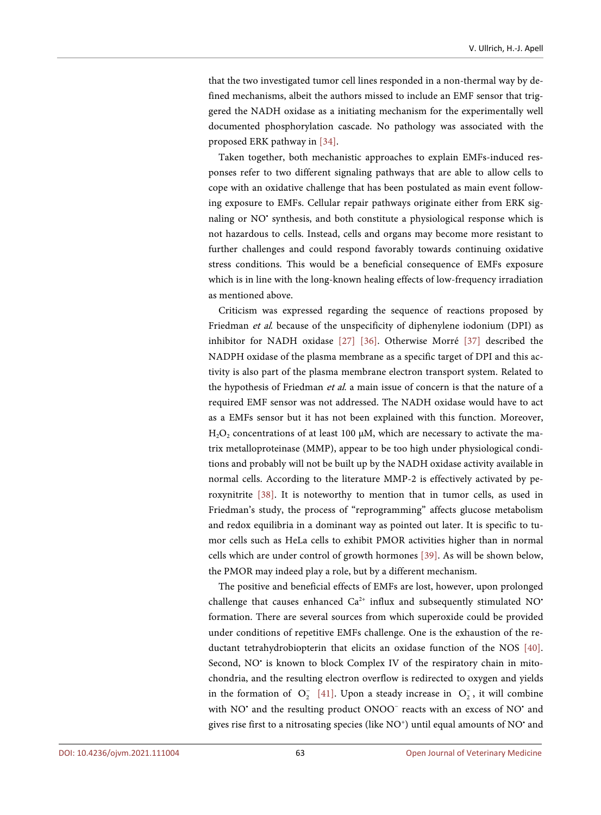that the two investigated tumor cell lines responded in a non-thermal way by defined mechanisms, albeit the authors missed to include an EMF sensor that triggered the NADH oxidase as a initiating mechanism for the experimentally well documented phosphorylation cascade. No pathology was associated with the proposed ERK pathway in [\[34\].](#page-23-0)

Taken together, both mechanistic approaches to explain EMFs-induced responses refer to two different signaling pathways that are able to allow cells to cope with an oxidative challenge that has been postulated as main event following exposure to EMFs. Cellular repair pathways originate either from ERK signaling or NO• synthesis, and both constitute a physiological response which is not hazardous to cells. Instead, cells and organs may become more resistant to further challenges and could respond favorably towards continuing oxidative stress conditions. This would be a beneficial consequence of EMFs exposure which is in line with the long-known healing effects of low-frequency irradiation as mentioned above.

Criticism was expressed regarding the sequence of reactions proposed by Friedman et al. because of the unspecificity of diphenylene iodonium (DPI) as inhibitor for NADH oxidase [\[27\]](#page-22-7) [\[36\].](#page-23-2) Otherwise Morré [\[37\]](#page-23-3) described the NADPH oxidase of the plasma membrane as a specific target of DPI and this activity is also part of the plasma membrane electron transport system. Related to the hypothesis of Friedman et al. a main issue of concern is that the nature of a required EMF sensor was not addressed. The NADH oxidase would have to act as a EMFs sensor but it has not been explained with this function. Moreover, H<sub>2</sub>O<sub>2</sub> concentrations of at least 100  $\mu$ M, which are necessary to activate the matrix metalloproteinase (MMP), appear to be too high under physiological conditions and probably will not be built up by the NADH oxidase activity available in normal cells. According to the literature MMP-2 is effectively activated by peroxynitrite [\[38\].](#page-23-4) It is noteworthy to mention that in tumor cells, as used in Friedman's study, the process of "reprogramming" affects glucose metabolism and redox equilibria in a dominant way as pointed out later. It is specific to tumor cells such as HeLa cells to exhibit PMOR activities higher than in normal cells which are under control of growth hormones [\[39\].](#page-23-5) As will be shown below, the PMOR may indeed play a role, but by a different mechanism.

The positive and beneficial effects of EMFs are lost, however, upon prolonged challenge that causes enhanced  $Ca^{2+}$  influx and subsequently stimulated NO<sup>\*</sup> formation. There are several sources from which superoxide could be provided under conditions of repetitive EMFs challenge. One is the exhaustion of the reductant tetrahydrobiopterin that elicits an oxidase function of the NOS [\[40\].](#page-23-6)  Second, NO<sup>•</sup> is known to block Complex IV of the respiratory chain in mitochondria, and the resulting electron overflow is redirected to oxygen and yields in the formation of  $O_2^-$  [\[41\].](#page-23-7) Upon a steady increase in  $O_2^-$ , it will combine with NO<sup>•</sup> and the resulting product ONOO<sup>-</sup> reacts with an excess of NO<sup>•</sup> and gives rise first to a nitrosating species (like NO<sup>+</sup>) until equal amounts of NO<sup>+</sup> and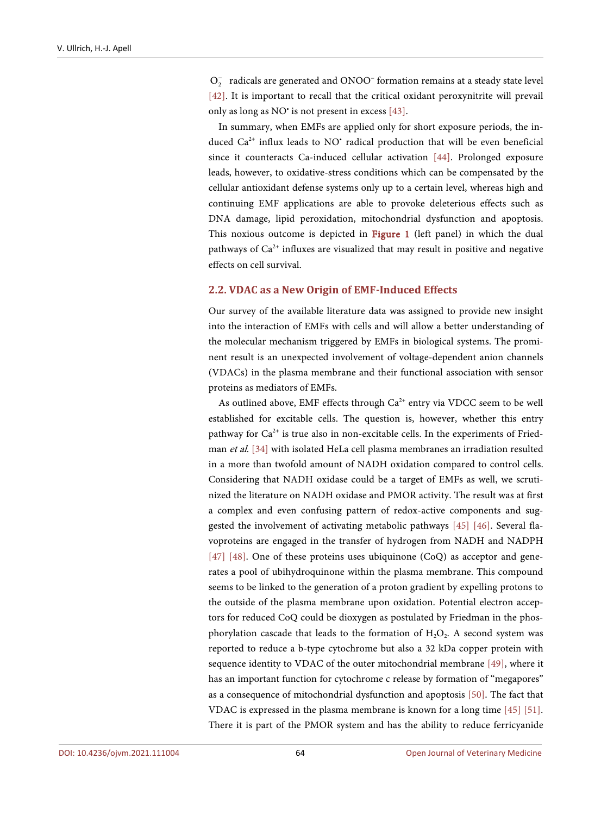$O<sub>2</sub>$  radicals are generated and ONOO<sup>−</sup> formation remains at a steady state level [\[42\].](#page-23-8) It is important to recall that the critical oxidant peroxynitrite will prevail only as long as NO• is not present in excess [\[43\].](#page-23-9)

In summary, when EMFs are applied only for short exposure periods, the induced  $Ca^{2+}$  influx leads to NO $\cdot$  radical production that will be even beneficial since it counteracts Ca-induced cellular activation [\[44\].](#page-23-10) Prolonged exposure leads, however, to oxidative-stress conditions which can be compensated by the cellular antioxidant defense systems only up to a certain level, whereas high and continuing EMF applications are able to provoke deleterious effects such as DNA damage, lipid peroxidation, mitochondrial dysfunction and apoptosis. This noxious outcome is depicted in [Figure 1](#page-5-0) (left panel) in which the dual pathways of  $Ca^{2+}$  influxes are visualized that may result in positive and negative effects on cell survival.

#### **2.2. VDAC as a New Origin of EMF-Induced Effects**

Our survey of the available literature data was assigned to provide new insight into the interaction of EMFs with cells and will allow a better understanding of the molecular mechanism triggered by EMFs in biological systems. The prominent result is an unexpected involvement of voltage-dependent anion channels (VDACs) in the plasma membrane and their functional association with sensor proteins as mediators of EMFs.

As outlined above, EMF effects through  $Ca^{2+}$  entry via VDCC seem to be well established for excitable cells. The question is, however, whether this entry pathway for  $Ca^{2+}$  is true also in non-excitable cells. In the experiments of Friedman et al. [\[34\]](#page-23-0) with isolated HeLa cell plasma membranes an irradiation resulted in a more than twofold amount of NADH oxidation compared to control cells. Considering that NADH oxidase could be a target of EMFs as well, we scrutinized the literature on NADH oxidase and PMOR activity. The result was at first a complex and even confusing pattern of redox-active components and suggested the involvement of activating metabolic pathways [\[45\]](#page-23-11) [\[46\].](#page-23-12) Several flavoproteins are engaged in the transfer of hydrogen from NADH and NADPH [\[47\]](#page-23-13) [\[48\].](#page-24-0) One of these proteins uses ubiquinone  $(CoQ)$  as acceptor and generates a pool of ubihydroquinone within the plasma membrane. This compound seems to be linked to the generation of a proton gradient by expelling protons to the outside of the plasma membrane upon oxidation. Potential electron acceptors for reduced CoQ could be dioxygen as postulated by Friedman in the phosphorylation cascade that leads to the formation of  $H_2O_2$ . A second system was reported to reduce a b-type cytochrome but also a 32 kDa copper protein with sequence identity to VDAC of the outer mitochondrial membrane [\[49\],](#page-24-1) where it has an important function for cytochrome c release by formation of "megapores" as a consequence of mitochondrial dysfunction and apoptosis [\[50\].](#page-24-2) The fact that VDAC is expressed in the plasma membrane is known for a long time [\[45\]](#page-23-11) [\[51\].](#page-24-3)  There it is part of the PMOR system and has the ability to reduce ferricyanide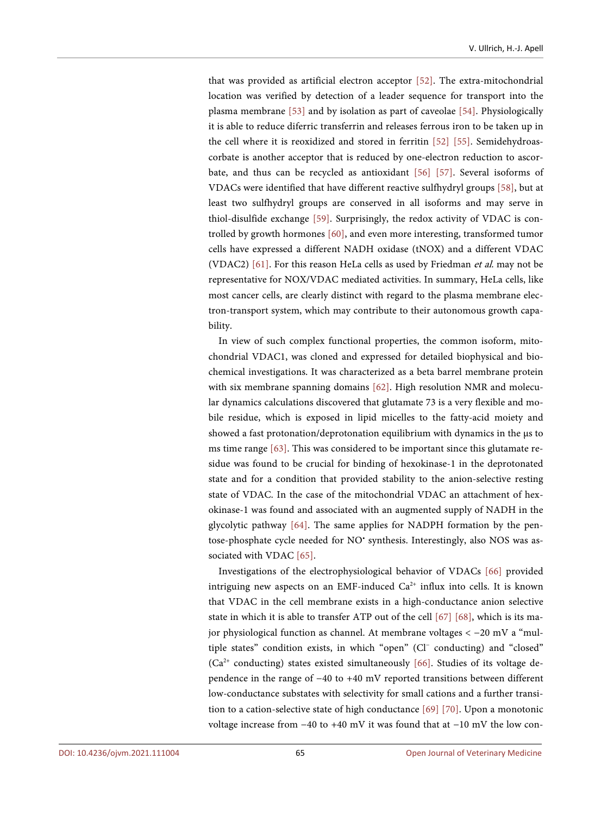that was provided as artificial electron acceptor [\[52\].](#page-24-4) The extra-mitochondrial location was verified by detection of a leader sequence for transport into the plasma membrane [\[53\]](#page-24-5) and by isolation as part of caveolae [\[54\].](#page-24-6) Physiologically it is able to reduce diferric transferrin and releases ferrous iron to be taken up in the cell where it is reoxidized and stored in ferritin [\[52\]](#page-24-4) [\[55\].](#page-24-7) Semidehydroascorbate is another acceptor that is reduced by one-electron reduction to ascorbate, and thus can be recycled as antioxidant [\[56\]](#page-24-8) [\[57\].](#page-24-9) Several isoforms of VDACs were identified that have different reactive sulfhydryl groups [\[58\],](#page-24-10) but at least two sulfhydryl groups are conserved in all isoforms and may serve in thiol-disulfide exchange [\[59\].](#page-24-11) Surprisingly, the redox activity of VDAC is controlled by growth hormones [\[60\],](#page-24-12) and even more interesting, transformed tumor cells have expressed a different NADH oxidase (tNOX) and a different VDAC (VDAC2) [\[61\].](#page-24-13) For this reason HeLa cells as used by Friedman et al. may not be representative for NOX/VDAC mediated activities. In summary, HeLa cells, like most cancer cells, are clearly distinct with regard to the plasma membrane electron-transport system, which may contribute to their autonomous growth capability.

In view of such complex functional properties, the common isoform, mitochondrial VDAC1, was cloned and expressed for detailed biophysical and biochemical investigations. It was characterized as a beta barrel membrane protein with six membrane spanning domains [\[62\].](#page-25-0) High resolution NMR and molecular dynamics calculations discovered that glutamate 73 is a very flexible and mobile residue, which is exposed in lipid micelles to the fatty-acid moiety and showed a fast protonation/deprotonation equilibrium with dynamics in the µs to ms time range [\[63\].](#page-25-1) This was considered to be important since this glutamate residue was found to be crucial for binding of hexokinase-1 in the deprotonated state and for a condition that provided stability to the anion-selective resting state of VDAC. In the case of the mitochondrial VDAC an attachment of hexokinase-1 was found and associated with an augmented supply of NADH in the glycolytic pathway [\[64\].](#page-25-2) The same applies for NADPH formation by the pentose-phosphate cycle needed for NO• synthesis. Interestingly, also NOS was as-sociated with VDAC [\[65\].](#page-25-3)

Investigations of the electrophysiological behavior of VDACs [\[66\]](#page-25-4) provided intriguing new aspects on an EMF-induced  $Ca^{2+}$  influx into cells. It is known that VDAC in the cell membrane exists in a high-conductance anion selective state in which it is able to transfer ATP out of the cell [\[67\]](#page-25-5) [\[68\],](#page-25-6) which is its major physiological function as channel. At membrane voltages < −20 mV a "multiple states" condition exists, in which "open" (Cl<sup>−</sup> conducting) and "closed"  $(Ca^{2+}$  conducting) states existed simultaneously [\[66\].](#page-25-4) Studies of its voltage dependence in the range of −40 to +40 mV reported transitions between different low-conductance substates with selectivity for small cations and a further transition to a cation-selective state of high conductance [\[69\]](#page-25-7) [\[70\].](#page-25-8) Upon a monotonic voltage increase from −40 to +40 mV it was found that at −10 mV the low con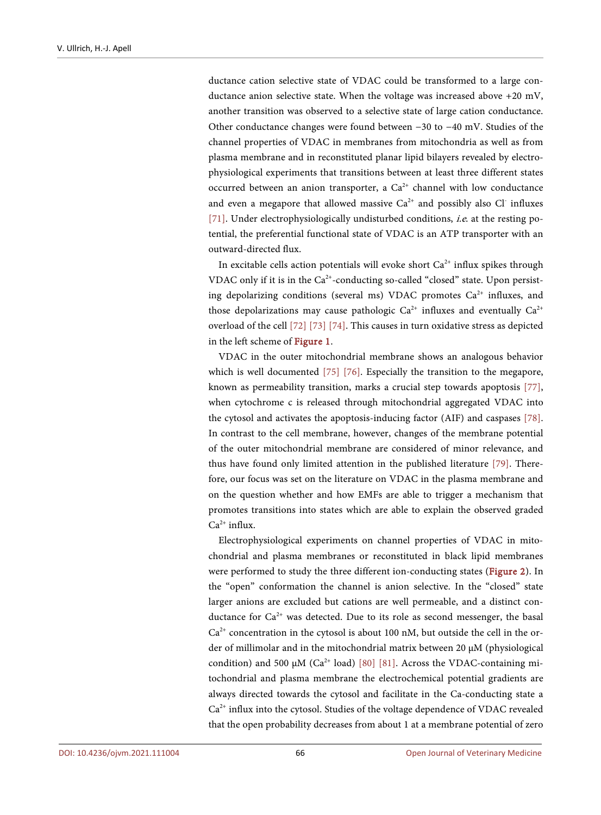ductance cation selective state of VDAC could be transformed to a large conductance anion selective state. When the voltage was increased above +20 mV, another transition was observed to a selective state of large cation conductance. Other conductance changes were found between −30 to −40 mV. Studies of the channel properties of VDAC in membranes from mitochondria as well as from plasma membrane and in reconstituted planar lipid bilayers revealed by electrophysiological experiments that transitions between at least three different states occurred between an anion transporter, a  $Ca^{2+}$  channel with low conductance and even a megapore that allowed massive  $Ca<sup>2+</sup>$  and possibly also Cl influxes [\[71\].](#page-25-9) Under electrophysiologically undisturbed conditions, *i.e.* at the resting potential, the preferential functional state of VDAC is an ATP transporter with an outward-directed flux.

In excitable cells action potentials will evoke short  $Ca^{2+}$  influx spikes through VDAC only if it is in the  $Ca<sup>2+</sup>$ -conducting so-called "closed" state. Upon persisting depolarizing conditions (several ms) VDAC promotes  $Ca^{2+}$  influxes, and those depolarizations may cause pathologic  $Ca^{2+}$  influxes and eventually  $Ca^{2+}$ overload of the cell [\[72\]](#page-25-10) [\[73\]](#page-25-11) [\[74\].](#page-25-12) This causes in turn oxidative stress as depicted in the left scheme of [Figure 1.](#page-5-0)

VDAC in the outer mitochondrial membrane shows an analogous behavior which is well documented [\[75\]](#page-26-0) [\[76\].](#page-26-1) Especially the transition to the megapore, known as permeability transition, marks a crucial step towards apoptosis [\[77\],](#page-26-2)  when cytochrome c is released through mitochondrial aggregated VDAC into the cytosol and activates the apoptosis-inducing factor (AIF) and caspases [\[78\].](#page-26-3)  In contrast to the cell membrane, however, changes of the membrane potential of the outer mitochondrial membrane are considered of minor relevance, and thus have found only limited attention in the published literature [\[79\].](#page-26-4) Therefore, our focus was set on the literature on VDAC in the plasma membrane and on the question whether and how EMFs are able to trigger a mechanism that promotes transitions into states which are able to explain the observed graded  $Ca^{2+}$  influx.

Electrophysiological experiments on channel properties of VDAC in mitochondrial and plasma membranes or reconstituted in black lipid membranes were performed to study the three different ion-conducting states [\(Figure 2\)](#page-10-0). In the "open" conformation the channel is anion selective. In the "closed" state larger anions are excluded but cations are well permeable, and a distinct conductance for  $Ca^{2+}$  was detected. Due to its role as second messenger, the basal  $Ca<sup>2+</sup>$  concentration in the cytosol is about 100 nM, but outside the cell in the order of millimolar and in the mitochondrial matrix between 20 µM (physiological condition) and 500  $\mu$ M (Ca<sup>2+</sup> load) [\[80\]](#page-26-5) [\[81\].](#page-26-6) Across the VDAC-containing mitochondrial and plasma membrane the electrochemical potential gradients are always directed towards the cytosol and facilitate in the Ca-conducting state a  $Ca<sup>2+</sup>$  influx into the cytosol. Studies of the voltage dependence of VDAC revealed that the open probability decreases from about 1 at a membrane potential of zero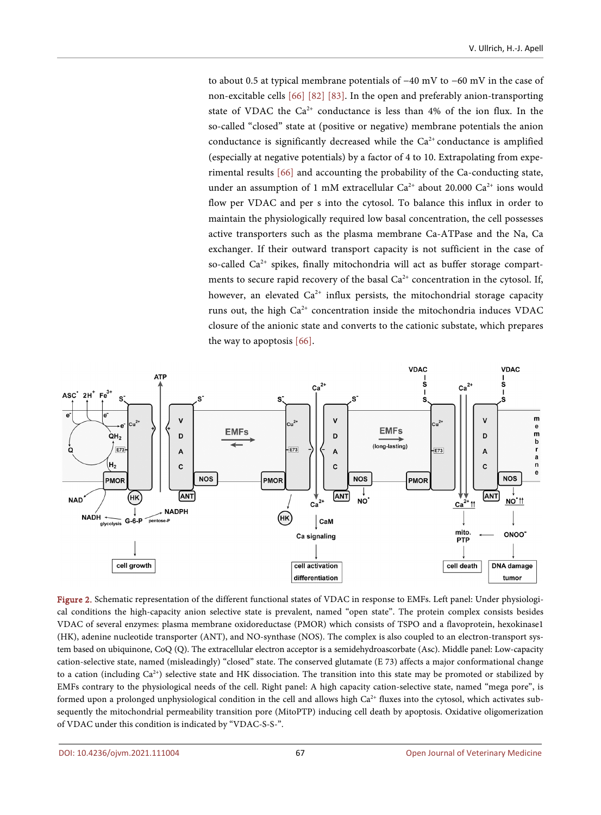to about 0.5 at typical membrane potentials of −40 mV to −60 mV in the case of non-excitable cells [\[66\]](#page-25-4) [\[82\]](#page-26-7) [\[83\].](#page-26-8) In the open and preferably anion-transporting state of VDAC the  $Ca^{2+}$  conductance is less than 4% of the ion flux. In the so-called "closed" state at (positive or negative) membrane potentials the anion conductance is significantly decreased while the  $Ca<sup>2+</sup>$  conductance is amplified (especially at negative potentials) by a factor of 4 to 10. Extrapolating from experimental results [\[66\]](#page-25-4) and accounting the probability of the Ca-conducting state, under an assumption of 1 mM extracellular  $Ca^{2+}$  about 20.000  $Ca^{2+}$  ions would flow per VDAC and per s into the cytosol. To balance this influx in order to maintain the physiologically required low basal concentration, the cell possesses active transporters such as the plasma membrane Ca-ATPase and the Na, Ca exchanger. If their outward transport capacity is not sufficient in the case of so-called  $Ca^{2+}$  spikes, finally mitochondria will act as buffer storage compartments to secure rapid recovery of the basal  $Ca^{2+}$  concentration in the cytosol. If, however, an elevated  $Ca^{2+}$  influx persists, the mitochondrial storage capacity runs out, the high  $Ca^{2+}$  concentration inside the mitochondria induces VDAC closure of the anionic state and converts to the cationic substate, which prepares the way to apoptosi[s \[66\].](#page-25-4)

<span id="page-10-0"></span>

Figure 2. Schematic representation of the different functional states of VDAC in response to EMFs. Left panel: Under physiological conditions the high-capacity anion selective state is prevalent, named "open state". The protein complex consists besides VDAC of several enzymes: plasma membrane oxidoreductase (PMOR) which consists of TSPO and a flavoprotein, hexokinase1 (HK), adenine nucleotide transporter (ANT), and NO-synthase (NOS). The complex is also coupled to an electron-transport system based on ubiquinone, CoQ (Q). The extracellular electron acceptor is a semidehydroascorbate (Asc). Middle panel: Low-capacity cation-selective state, named (misleadingly) "closed" state. The conserved glutamate (E 73) affects a major conformational change to a cation (including  $Ca^{2+}$ ) selective state and HK dissociation. The transition into this state may be promoted or stabilized by EMFs contrary to the physiological needs of the cell. Right panel: A high capacity cation-selective state, named "mega pore", is formed upon a prolonged unphysiological condition in the cell and allows high  $Ca<sup>2+</sup>$  fluxes into the cytosol, which activates subsequently the mitochondrial permeability transition pore (MitoPTP) inducing cell death by apoptosis. Oxidative oligomerization of VDAC under this condition is indicated by "VDAC-S-S-".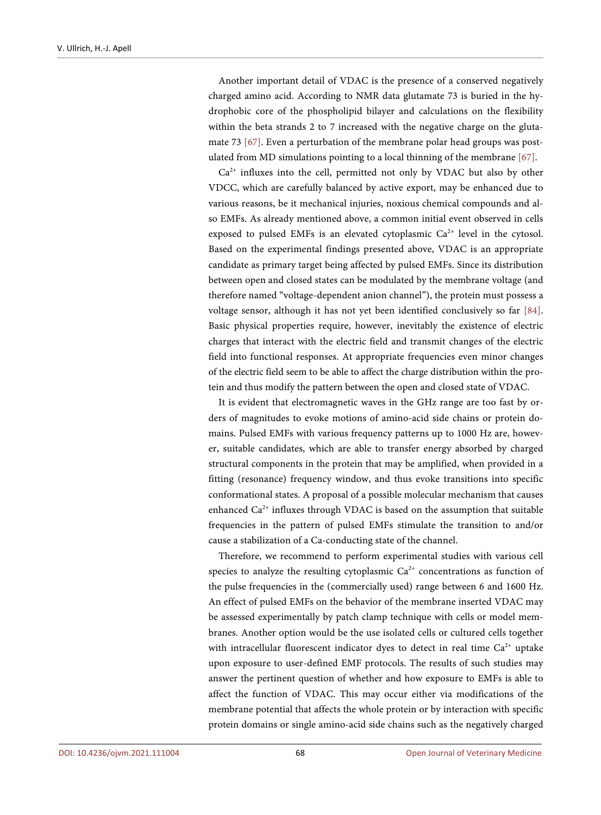Another important detail of VDAC is the presence of a conserved negatively charged amino acid. According to NMR data glutamate 73 is buried in the hydrophobic core of the phospholipid bilayer and calculations on the flexibility within the beta strands 2 to 7 increased with the negative charge on the glutamate 73 [\[67\].](#page-25-5) Even a perturbation of the membrane polar head groups was postulated from MD simulations pointing to a local thinning of the membran[e \[67\].](#page-25-5)

 $Ca<sup>2+</sup>$  influxes into the cell, permitted not only by VDAC but also by other VDCC, which are carefully balanced by active export, may be enhanced due to various reasons, be it mechanical injuries, noxious chemical compounds and also EMFs. As already mentioned above, a common initial event observed in cells exposed to pulsed EMFs is an elevated cytoplasmic  $Ca^{2+}$  level in the cytosol. Based on the experimental findings presented above, VDAC is an appropriate candidate as primary target being affected by pulsed EMFs. Since its distribution between open and closed states can be modulated by the membrane voltage (and therefore named "voltage-dependent anion channel"), the protein must possess a voltage sensor, although it has not yet been identified conclusively so far [\[84\].](#page-26-9)  Basic physical properties require, however, inevitably the existence of electric charges that interact with the electric field and transmit changes of the electric field into functional responses. At appropriate frequencies even minor changes of the electric field seem to be able to affect the charge distribution within the protein and thus modify the pattern between the open and closed state of VDAC.

It is evident that electromagnetic waves in the GHz range are too fast by orders of magnitudes to evoke motions of amino-acid side chains or protein domains. Pulsed EMFs with various frequency patterns up to 1000 Hz are, however, suitable candidates, which are able to transfer energy absorbed by charged structural components in the protein that may be amplified, when provided in a fitting (resonance) frequency window, and thus evoke transitions into specific conformational states. A proposal of a possible molecular mechanism that causes enhanced  $Ca<sup>2+</sup>$  influxes through VDAC is based on the assumption that suitable frequencies in the pattern of pulsed EMFs stimulate the transition to and/or cause a stabilization of a Ca-conducting state of the channel.

Therefore, we recommend to perform experimental studies with various cell species to analyze the resulting cytoplasmic  $Ca^{2+}$  concentrations as function of the pulse frequencies in the (commercially used) range between 6 and 1600 Hz. An effect of pulsed EMFs on the behavior of the membrane inserted VDAC may be assessed experimentally by patch clamp technique with cells or model membranes. Another option would be the use isolated cells or cultured cells together with intracellular fluorescent indicator dyes to detect in real time  $Ca^{2+}$  uptake upon exposure to user-defined EMF protocols. The results of such studies may answer the pertinent question of whether and how exposure to EMFs is able to affect the function of VDAC. This may occur either via modifications of the membrane potential that affects the whole protein or by interaction with specific protein domains or single amino-acid side chains such as the negatively charged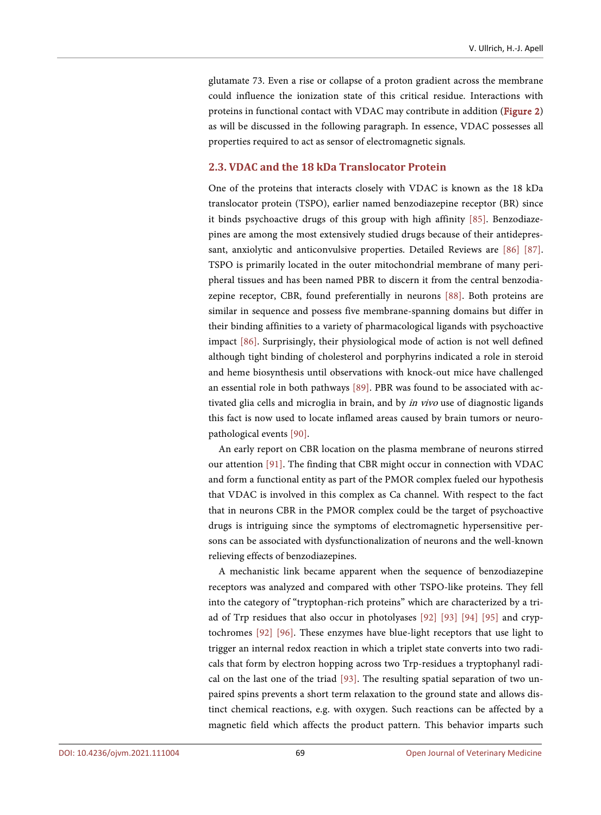glutamate 73. Even a rise or collapse of a proton gradient across the membrane could influence the ionization state of this critical residue. Interactions with proteins in functional contact with VDAC may contribute in addition [\(Figure 2\)](#page-10-0) as will be discussed in the following paragraph. In essence, VDAC possesses all properties required to act as sensor of electromagnetic signals.

## **2.3. VDAC and the 18 kDa Translocator Protein**

One of the proteins that interacts closely with VDAC is known as the 18 kDa translocator protein (TSPO), earlier named benzodiazepine receptor (BR) since it binds psychoactive drugs of this group with high affinity [\[85\].](#page-26-10) Benzodiazepines are among the most extensively studied drugs because of their antidepressant, anxiolytic and anticonvulsive properties. Detailed Reviews are [\[86\]](#page-26-11) [\[87\].](#page-26-12)  TSPO is primarily located in the outer mitochondrial membrane of many peripheral tissues and has been named PBR to discern it from the central benzodiazepine receptor, CBR, found preferentially in neurons [\[88\].](#page-26-13) Both proteins are similar in sequence and possess five membrane-spanning domains but differ in their binding affinities to a variety of pharmacological ligands with psychoactive impact [\[86\].](#page-26-11) Surprisingly, their physiological mode of action is not well defined although tight binding of cholesterol and porphyrins indicated a role in steroid and heme biosynthesis until observations with knock-out mice have challenged an essential role in both pathways [\[89\].](#page-27-0) PBR was found to be associated with activated glia cells and microglia in brain, and by in vivo use of diagnostic ligands this fact is now used to locate inflamed areas caused by brain tumors or neuropathological event[s \[90\].](#page-27-1) 

An early report on CBR location on the plasma membrane of neurons stirred our attention [\[91\].](#page-27-2) The finding that CBR might occur in connection with VDAC and form a functional entity as part of the PMOR complex fueled our hypothesis that VDAC is involved in this complex as Ca channel. With respect to the fact that in neurons CBR in the PMOR complex could be the target of psychoactive drugs is intriguing since the symptoms of electromagnetic hypersensitive persons can be associated with dysfunctionalization of neurons and the well-known relieving effects of benzodiazepines.

A mechanistic link became apparent when the sequence of benzodiazepine receptors was analyzed and compared with other TSPO-like proteins. They fell into the category of "tryptophan-rich proteins" which are characterized by a triad of Trp residues that also occur in photolyases [\[92\]](#page-27-3) [\[93\]](#page-27-4) [\[94\]](#page-27-5) [\[95\]](#page-27-6) and cryptochromes [\[92\]](#page-27-3) [\[96\].](#page-27-7) These enzymes have blue-light receptors that use light to trigger an internal redox reaction in which a triplet state converts into two radicals that form by electron hopping across two Trp-residues a tryptophanyl radical on the last one of the triad [\[93\].](#page-27-4) The resulting spatial separation of two unpaired spins prevents a short term relaxation to the ground state and allows distinct chemical reactions, e.g. with oxygen. Such reactions can be affected by a magnetic field which affects the product pattern. This behavior imparts such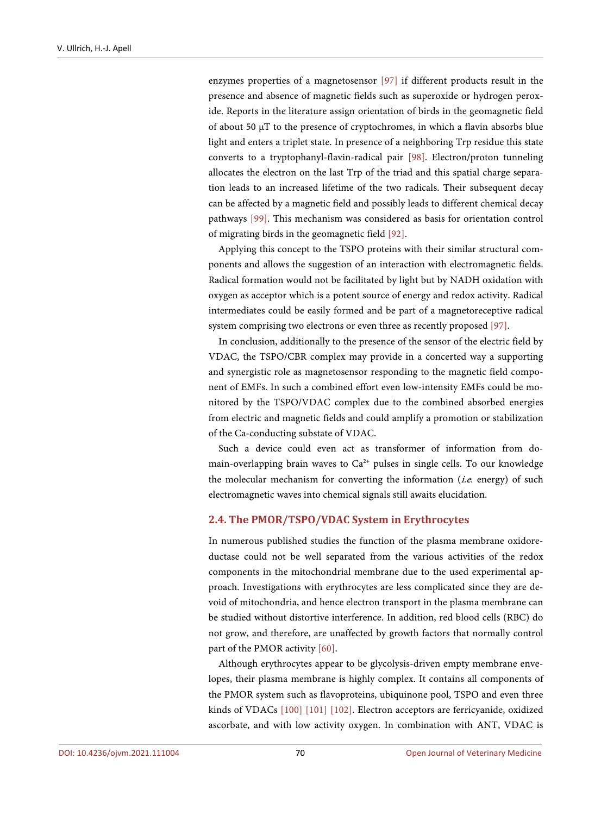enzymes properties of a magnetosensor [\[97\]](#page-27-8) if different products result in the presence and absence of magnetic fields such as superoxide or hydrogen peroxide. Reports in the literature assign orientation of birds in the geomagnetic field of about 50  $\mu$ T to the presence of cryptochromes, in which a flavin absorbs blue light and enters a triplet state. In presence of a neighboring Trp residue this state converts to a tryptophanyl-flavin-radical pair [\[98\].](#page-27-9) Electron/proton tunneling allocates the electron on the last Trp of the triad and this spatial charge separation leads to an increased lifetime of the two radicals. Their subsequent decay can be affected by a magnetic field and possibly leads to different chemical decay pathways [\[99\].](#page-27-10) This mechanism was considered as basis for orientation control of migrating birds in the geomagnetic field [\[92\].](#page-27-3) 

Applying this concept to the TSPO proteins with their similar structural components and allows the suggestion of an interaction with electromagnetic fields. Radical formation would not be facilitated by light but by NADH oxidation with oxygen as acceptor which is a potent source of energy and redox activity. Radical intermediates could be easily formed and be part of a magnetoreceptive radical system comprising two electrons or even three as recently proposed [\[97\].](#page-27-8)

In conclusion, additionally to the presence of the sensor of the electric field by VDAC, the TSPO/CBR complex may provide in a concerted way a supporting and synergistic role as magnetosensor responding to the magnetic field component of EMFs. In such a combined effort even low-intensity EMFs could be monitored by the TSPO/VDAC complex due to the combined absorbed energies from electric and magnetic fields and could amplify a promotion or stabilization of the Ca-conducting substate of VDAC.

Such a device could even act as transformer of information from domain-overlapping brain waves to  $Ca^{2+}$  pulses in single cells. To our knowledge the molecular mechanism for converting the information (*i.e.* energy) of such electromagnetic waves into chemical signals still awaits elucidation.

## **2.4. The PMOR/TSPO/VDAC System in Erythrocytes**

In numerous published studies the function of the plasma membrane oxidoreductase could not be well separated from the various activities of the redox components in the mitochondrial membrane due to the used experimental approach. Investigations with erythrocytes are less complicated since they are devoid of mitochondria, and hence electron transport in the plasma membrane can be studied without distortive interference. In addition, red blood cells (RBC) do not grow, and therefore, are unaffected by growth factors that normally control part of the PMOR activity [\[60\].](#page-24-12)

Although erythrocytes appear to be glycolysis-driven empty membrane envelopes, their plasma membrane is highly complex. It contains all components of the PMOR system such as flavoproteins, ubiquinone pool, TSPO and even three kinds of VDACs [\[100\]](#page-27-11) [\[101\]](#page-27-12) [\[102\].](#page-27-13) Electron acceptors are ferricyanide, oxidized ascorbate, and with low activity oxygen. In combination with ANT, VDAC is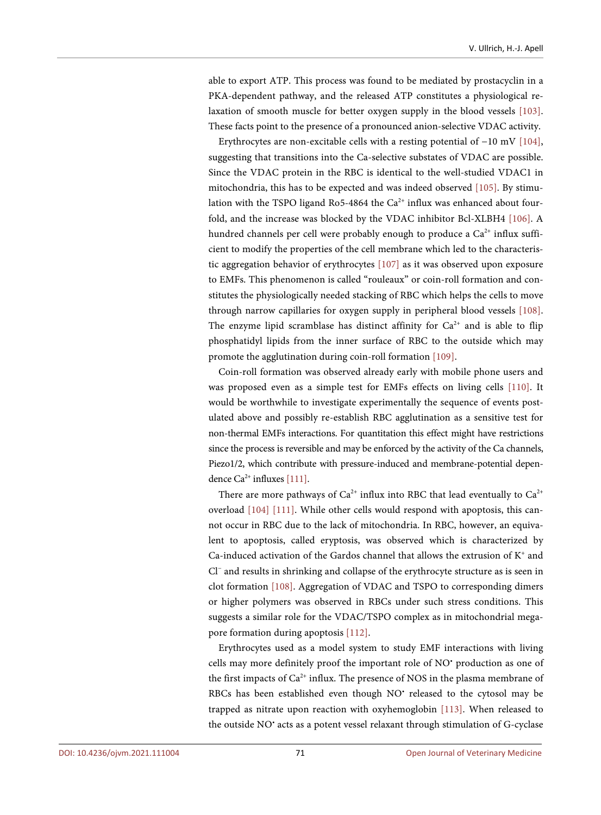able to export ATP. This process was found to be mediated by prostacyclin in a PKA-dependent pathway, and the released ATP constitutes a physiological relaxation of smooth muscle for better oxygen supply in the blood vessels [\[103\].](#page-28-0)  These facts point to the presence of a pronounced anion-selective VDAC activity.

Erythrocytes are non-excitable cells with a resting potential of −10 mV [\[104\],](#page-28-1)  suggesting that transitions into the Ca-selective substates of VDAC are possible. Since the VDAC protein in the RBC is identical to the well-studied VDAC1 in mitochondria, this has to be expected and was indeed observed [\[105\].](#page-28-2) By stimulation with the TSPO ligand Ro5-4864 the  $Ca<sup>2+</sup>$  influx was enhanced about fourfold, and the increase was blocked by the VDAC inhibitor Bcl-XLBH4 [\[106\].](#page-28-3) A hundred channels per cell were probably enough to produce a  $Ca^{2+}$  influx sufficient to modify the properties of the cell membrane which led to the characteristic aggregation behavior of erythrocytes [\[107\]](#page-28-4) as it was observed upon exposure to EMFs. This phenomenon is called "rouleaux" or coin-roll formation and constitutes the physiologically needed stacking of RBC which helps the cells to move through narrow capillaries for oxygen supply in peripheral blood vessels [\[108\].](#page-28-5)  The enzyme lipid scramblase has distinct affinity for  $Ca<sup>2+</sup>$  and is able to flip phosphatidyl lipids from the inner surface of RBC to the outside which may promote the agglutination during coin-roll formation [\[109\].](#page-28-6)

Coin-roll formation was observed already early with mobile phone users and was proposed even as a simple test for EMFs effects on living cells [\[110\].](#page-28-7) It would be worthwhile to investigate experimentally the sequence of events postulated above and possibly re-establish RBC agglutination as a sensitive test for non-thermal EMFs interactions. For quantitation this effect might have restrictions since the process is reversible and may be enforced by the activity of the Ca channels, Piezo1/2, which contribute with pressure-induced and membrane-potential dependence  $Ca^{2+}$  influxes [\[111\].](#page-28-8)

There are more pathways of  $Ca^{2+}$  influx into RBC that lead eventually to  $Ca^{2+}$ overload [\[104\]](#page-28-1) [\[111\].](#page-28-8) While other cells would respond with apoptosis, this cannot occur in RBC due to the lack of mitochondria. In RBC, however, an equivalent to apoptosis, called eryptosis, was observed which is characterized by Ca-induced activation of the Gardos channel that allows the extrusion of  $K^+$  and Cl<sup>−</sup> and results in shrinking and collapse of the erythrocyte structure as is seen in clot formation [\[108\].](#page-28-5) Aggregation of VDAC and TSPO to corresponding dimers or higher polymers was observed in RBCs under such stress conditions. This suggests a similar role for the VDAC/TSPO complex as in mitochondrial megapore formation during apoptosis [\[112\].](#page-28-9)

Erythrocytes used as a model system to study EMF interactions with living cells may more definitely proof the important role of NO• production as one of the first impacts of  $Ca^{2+}$  influx. The presence of NOS in the plasma membrane of RBCs has been established even though NO<sup>•</sup> released to the cytosol may be trapped as nitrate upon reaction with oxyhemoglobin [\[113\].](#page-28-10) When released to the outside NO• acts as a potent vessel relaxant through stimulation of G-cyclase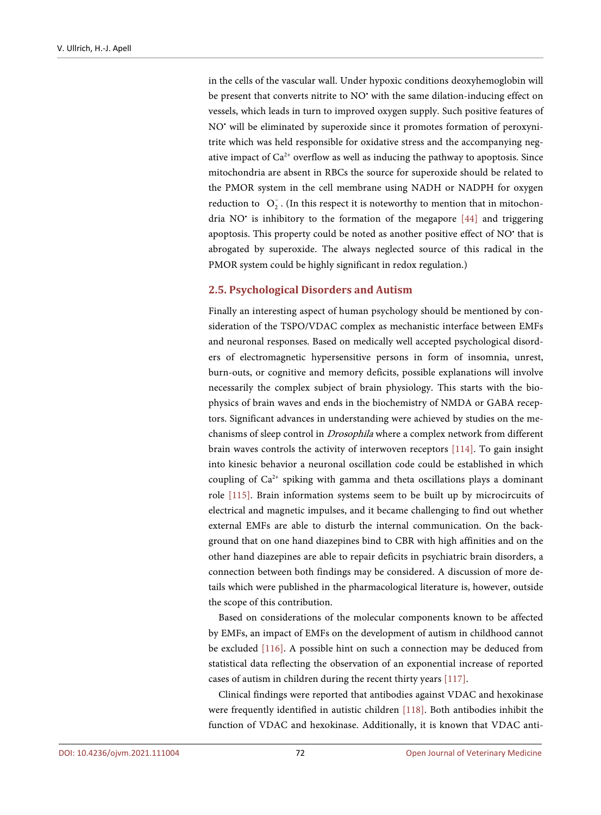in the cells of the vascular wall. Under hypoxic conditions deoxyhemoglobin will be present that converts nitrite to NO<sup>•</sup> with the same dilation-inducing effect on vessels, which leads in turn to improved oxygen supply. Such positive features of NO• will be eliminated by superoxide since it promotes formation of peroxynitrite which was held responsible for oxidative stress and the accompanying negative impact of  $Ca^{2+}$  overflow as well as inducing the pathway to apoptosis. Since mitochondria are absent in RBCs the source for superoxide should be related to the PMOR system in the cell membrane using NADH or NADPH for oxygen reduction to  $O_2^-$ . (In this respect it is noteworthy to mention that in mitochondria NO $\degree$  is inhibitory to the formation of the megapore [\[44\]](#page-23-10) and triggering apoptosis. This property could be noted as another positive effect of NO• that is abrogated by superoxide. The always neglected source of this radical in the PMOR system could be highly significant in redox regulation.)

#### **2.5. Psychological Disorders and Autism**

Finally an interesting aspect of human psychology should be mentioned by consideration of the TSPO/VDAC complex as mechanistic interface between EMFs and neuronal responses. Based on medically well accepted psychological disorders of electromagnetic hypersensitive persons in form of insomnia, unrest, burn-outs, or cognitive and memory deficits, possible explanations will involve necessarily the complex subject of brain physiology. This starts with the biophysics of brain waves and ends in the biochemistry of NMDA or GABA receptors. Significant advances in understanding were achieved by studies on the mechanisms of sleep control in Drosophila where a complex network from different brain waves controls the activity of interwoven receptors [\[114\].](#page-28-11) To gain insight into kinesic behavior a neuronal oscillation code could be established in which coupling of  $Ca^{2+}$  spiking with gamma and theta oscillations plays a dominant role [\[115\].](#page-28-12) Brain information systems seem to be built up by microcircuits of electrical and magnetic impulses, and it became challenging to find out whether external EMFs are able to disturb the internal communication. On the background that on one hand diazepines bind to CBR with high affinities and on the other hand diazepines are able to repair deficits in psychiatric brain disorders, a connection between both findings may be considered. A discussion of more details which were published in the pharmacological literature is, however, outside the scope of this contribution.

Based on considerations of the molecular components known to be affected by EMFs, an impact of EMFs on the development of autism in childhood cannot be excluded [\[116\].](#page-29-0) A possible hint on such a connection may be deduced from statistical data reflecting the observation of an exponential increase of reported cases of autism in children during the recent thirty years [\[117\].](#page-29-1)

Clinical findings were reported that antibodies against VDAC and hexokinase were frequently identified in autistic children [\[118\].](#page-29-2) Both antibodies inhibit the function of VDAC and hexokinase. Additionally, it is known that VDAC anti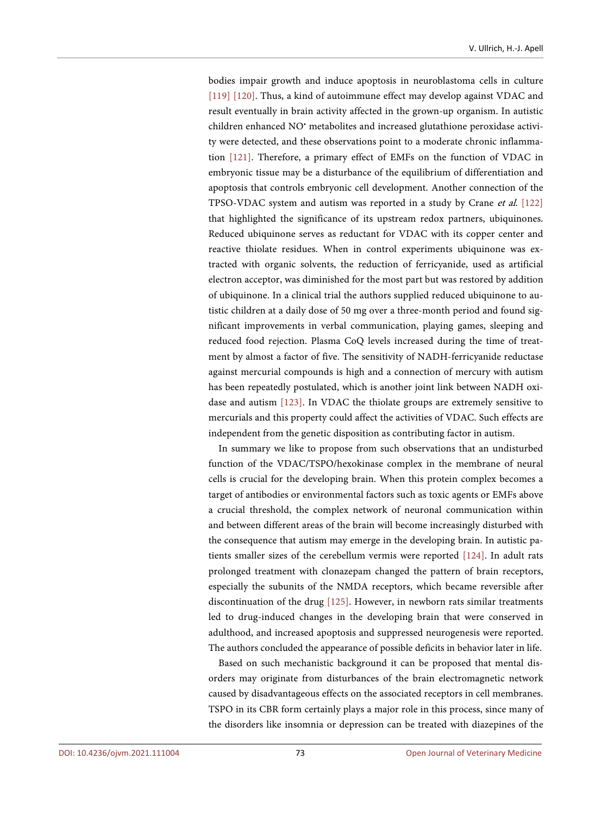bodies impair growth and induce apoptosis in neuroblastoma cells in culture [\[119\]](#page-29-3) [\[120\].](#page-29-4) Thus, a kind of autoimmune effect may develop against VDAC and result eventually in brain activity affected in the grown-up organism. In autistic children enhanced NO• metabolites and increased glutathione peroxidase activity were detected, and these observations point to a moderate chronic inflammation [\[121\].](#page-29-5) Therefore, a primary effect of EMFs on the function of VDAC in embryonic tissue may be a disturbance of the equilibrium of differentiation and apoptosis that controls embryonic cell development. Another connection of the TPSO-VDAC system and autism was reported in a study by Crane et al. [\[122\]](#page-29-6) that highlighted the significance of its upstream redox partners, ubiquinones. Reduced ubiquinone serves as reductant for VDAC with its copper center and reactive thiolate residues. When in control experiments ubiquinone was extracted with organic solvents, the reduction of ferricyanide, used as artificial electron acceptor, was diminished for the most part but was restored by addition of ubiquinone. In a clinical trial the authors supplied reduced ubiquinone to autistic children at a daily dose of 50 mg over a three-month period and found significant improvements in verbal communication, playing games, sleeping and reduced food rejection. Plasma CoQ levels increased during the time of treatment by almost a factor of five. The sensitivity of NADH-ferricyanide reductase against mercurial compounds is high and a connection of mercury with autism has been repeatedly postulated, which is another joint link between NADH oxidase and autism [\[123\].](#page-29-7) In VDAC the thiolate groups are extremely sensitive to mercurials and this property could affect the activities of VDAC. Such effects are independent from the genetic disposition as contributing factor in autism.

In summary we like to propose from such observations that an undisturbed function of the VDAC/TSPO/hexokinase complex in the membrane of neural cells is crucial for the developing brain. When this protein complex becomes a target of antibodies or environmental factors such as toxic agents or EMFs above a crucial threshold, the complex network of neuronal communication within and between different areas of the brain will become increasingly disturbed with the consequence that autism may emerge in the developing brain. In autistic patients smaller sizes of the cerebellum vermis were reported [\[124\].](#page-29-8) In adult rats prolonged treatment with clonazepam changed the pattern of brain receptors, especially the subunits of the NMDA receptors, which became reversible after discontinuation of the drug [\[125\].](#page-29-9) However, in newborn rats similar treatments led to drug-induced changes in the developing brain that were conserved in adulthood, and increased apoptosis and suppressed neurogenesis were reported. The authors concluded the appearance of possible deficits in behavior later in life.

Based on such mechanistic background it can be proposed that mental disorders may originate from disturbances of the brain electromagnetic network caused by disadvantageous effects on the associated receptors in cell membranes. TSPO in its CBR form certainly plays a major role in this process, since many of the disorders like insomnia or depression can be treated with diazepines of the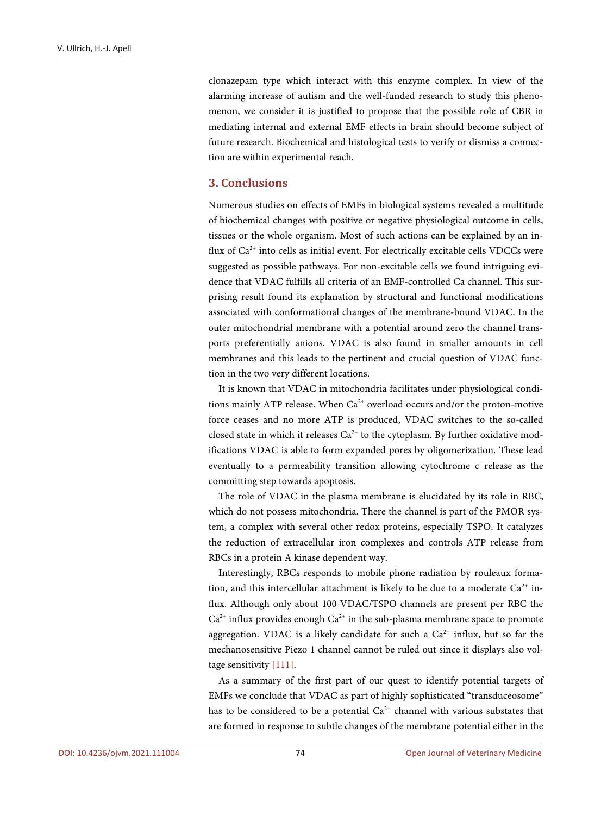clonazepam type which interact with this enzyme complex. In view of the alarming increase of autism and the well-funded research to study this phenomenon, we consider it is justified to propose that the possible role of CBR in mediating internal and external EMF effects in brain should become subject of future research. Biochemical and histological tests to verify or dismiss a connection are within experimental reach.

# **3. Conclusions**

Numerous studies on effects of EMFs in biological systems revealed a multitude of biochemical changes with positive or negative physiological outcome in cells, tissues or the whole organism. Most of such actions can be explained by an influx of  $Ca<sup>2+</sup>$  into cells as initial event. For electrically excitable cells VDCCs were suggested as possible pathways. For non-excitable cells we found intriguing evidence that VDAC fulfills all criteria of an EMF-controlled Ca channel. This surprising result found its explanation by structural and functional modifications associated with conformational changes of the membrane-bound VDAC. In the outer mitochondrial membrane with a potential around zero the channel transports preferentially anions. VDAC is also found in smaller amounts in cell membranes and this leads to the pertinent and crucial question of VDAC function in the two very different locations.

It is known that VDAC in mitochondria facilitates under physiological conditions mainly ATP release. When  $Ca^{2+}$  overload occurs and/or the proton-motive force ceases and no more ATP is produced, VDAC switches to the so-called closed state in which it releases  $Ca^{2+}$  to the cytoplasm. By further oxidative modifications VDAC is able to form expanded pores by oligomerization. These lead eventually to a permeability transition allowing cytochrome c release as the committing step towards apoptosis.

The role of VDAC in the plasma membrane is elucidated by its role in RBC, which do not possess mitochondria. There the channel is part of the PMOR system, a complex with several other redox proteins, especially TSPO. It catalyzes the reduction of extracellular iron complexes and controls ATP release from RBCs in a protein A kinase dependent way.

Interestingly, RBCs responds to mobile phone radiation by rouleaux formation, and this intercellular attachment is likely to be due to a moderate  $Ca^{2+}$  influx. Although only about 100 VDAC/TSPO channels are present per RBC the  $Ca^{2+}$  influx provides enough  $Ca^{2+}$  in the sub-plasma membrane space to promote aggregation. VDAC is a likely candidate for such a  $Ca<sup>2+</sup>$  influx, but so far the mechanosensitive Piezo 1 channel cannot be ruled out since it displays also voltage sensitivity [\[111\].](#page-28-8)

As a summary of the first part of our quest to identify potential targets of EMFs we conclude that VDAC as part of highly sophisticated "transduceosome" has to be considered to be a potential  $Ca^{2+}$  channel with various substates that are formed in response to subtle changes of the membrane potential either in the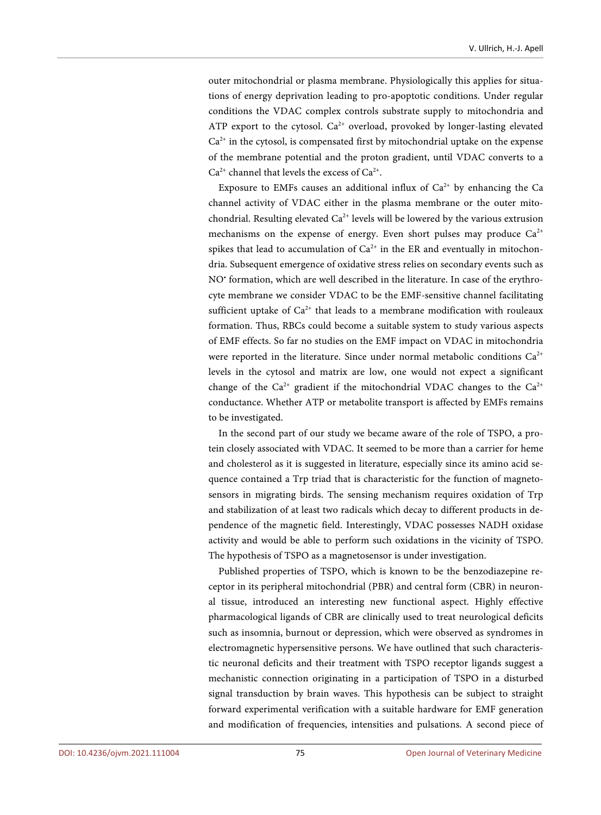outer mitochondrial or plasma membrane. Physiologically this applies for situations of energy deprivation leading to pro-apoptotic conditions. Under regular conditions the VDAC complex controls substrate supply to mitochondria and ATP export to the cytosol.  $Ca^{2+}$  overload, provoked by longer-lasting elevated  $Ca<sup>2+</sup>$  in the cytosol, is compensated first by mitochondrial uptake on the expense of the membrane potential and the proton gradient, until VDAC converts to a  $Ca^{2+}$  channel that levels the excess of  $Ca^{2+}$ .

Exposure to EMFs causes an additional influx of  $Ca^{2+}$  by enhancing the Ca channel activity of VDAC either in the plasma membrane or the outer mitochondrial. Resulting elevated  $Ca^{2+}$  levels will be lowered by the various extrusion mechanisms on the expense of energy. Even short pulses may produce  $Ca^{2+}$ spikes that lead to accumulation of  $Ca^{2+}$  in the ER and eventually in mitochondria. Subsequent emergence of oxidative stress relies on secondary events such as NO• formation, which are well described in the literature. In case of the erythrocyte membrane we consider VDAC to be the EMF-sensitive channel facilitating sufficient uptake of  $Ca^{2+}$  that leads to a membrane modification with rouleaux formation. Thus, RBCs could become a suitable system to study various aspects of EMF effects. So far no studies on the EMF impact on VDAC in mitochondria were reported in the literature. Since under normal metabolic conditions  $Ca^{2+}$ levels in the cytosol and matrix are low, one would not expect a significant change of the  $Ca^{2+}$  gradient if the mitochondrial VDAC changes to the  $Ca^{2+}$ conductance. Whether ATP or metabolite transport is affected by EMFs remains to be investigated.

In the second part of our study we became aware of the role of TSPO, a protein closely associated with VDAC. It seemed to be more than a carrier for heme and cholesterol as it is suggested in literature, especially since its amino acid sequence contained a Trp triad that is characteristic for the function of magnetosensors in migrating birds. The sensing mechanism requires oxidation of Trp and stabilization of at least two radicals which decay to different products in dependence of the magnetic field. Interestingly, VDAC possesses NADH oxidase activity and would be able to perform such oxidations in the vicinity of TSPO. The hypothesis of TSPO as a magnetosensor is under investigation.

Published properties of TSPO, which is known to be the benzodiazepine receptor in its peripheral mitochondrial (PBR) and central form (CBR) in neuronal tissue, introduced an interesting new functional aspect. Highly effective pharmacological ligands of CBR are clinically used to treat neurological deficits such as insomnia, burnout or depression, which were observed as syndromes in electromagnetic hypersensitive persons. We have outlined that such characteristic neuronal deficits and their treatment with TSPO receptor ligands suggest a mechanistic connection originating in a participation of TSPO in a disturbed signal transduction by brain waves. This hypothesis can be subject to straight forward experimental verification with a suitable hardware for EMF generation and modification of frequencies, intensities and pulsations. A second piece of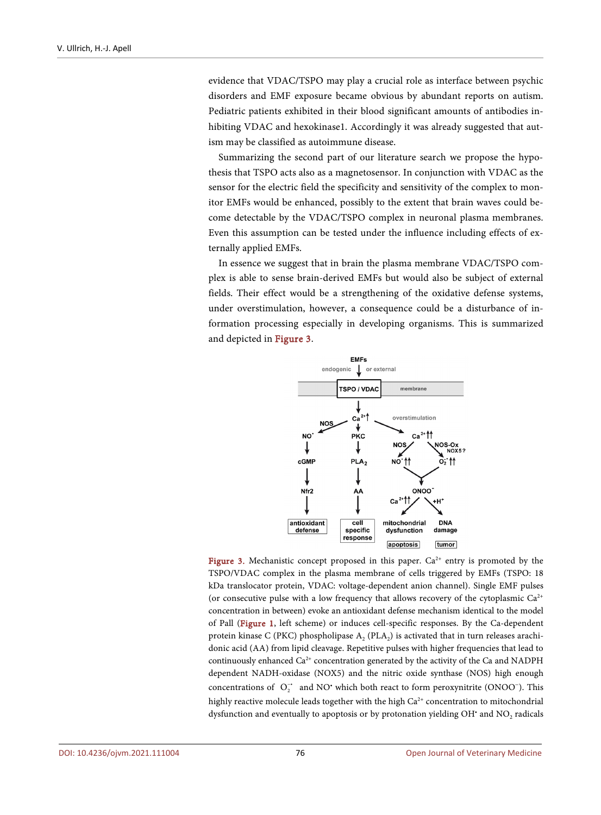evidence that VDAC/TSPO may play a crucial role as interface between psychic disorders and EMF exposure became obvious by abundant reports on autism. Pediatric patients exhibited in their blood significant amounts of antibodies inhibiting VDAC and hexokinase1. Accordingly it was already suggested that autism may be classified as autoimmune disease.

Summarizing the second part of our literature search we propose the hypothesis that TSPO acts also as a magnetosensor. In conjunction with VDAC as the sensor for the electric field the specificity and sensitivity of the complex to monitor EMFs would be enhanced, possibly to the extent that brain waves could become detectable by the VDAC/TSPO complex in neuronal plasma membranes. Even this assumption can be tested under the influence including effects of externally applied EMFs.

<span id="page-19-0"></span>In essence we suggest that in brain the plasma membrane VDAC/TSPO complex is able to sense brain-derived EMFs but would also be subject of external fields. Their effect would be a strengthening of the oxidative defense systems, under overstimulation, however, a consequence could be a disturbance of information processing especially in developing organisms. This is summarized and depicted i[n Figure 3.](#page-19-0)



Figure 3. Mechanistic concept proposed in this paper.  $Ca<sup>2+</sup>$  entry is promoted by the TSPO/VDAC complex in the plasma membrane of cells triggered by EMFs (TSPO: 18 kDa translocator protein, VDAC: voltage-dependent anion channel). Single EMF pulses (or consecutive pulse with a low frequency that allows recovery of the cytoplasmic  $Ca^{2+}$ concentration in between) evoke an antioxidant defense mechanism identical to the model of Pall [\(Figure 1,](#page-5-0) left scheme) or induces cell-specific responses. By the Ca-dependent protein kinase C (PKC) phospholipase  $A_2$  (PLA<sub>2</sub>) is activated that in turn releases arachidonic acid (AA) from lipid cleavage. Repetitive pulses with higher frequencies that lead to continuously enhanced  $Ca^{2+}$  concentration generated by the activity of the Ca and NADPH dependent NADH-oxidase (NOX5) and the nitric oxide synthase (NOS) high enough concentrations of  $O_2^{\rightarrow}$  and NO $^{\bullet}$  which both react to form peroxynitrite (ONOO $^{\neg}$ ). This highly reactive molecule leads together with the high  $Ca<sup>2+</sup>$  concentration to mitochondrial dysfunction and eventually to apoptosis or by protonation yielding OH $^{\star}$  and NO<sub>2</sub> radicals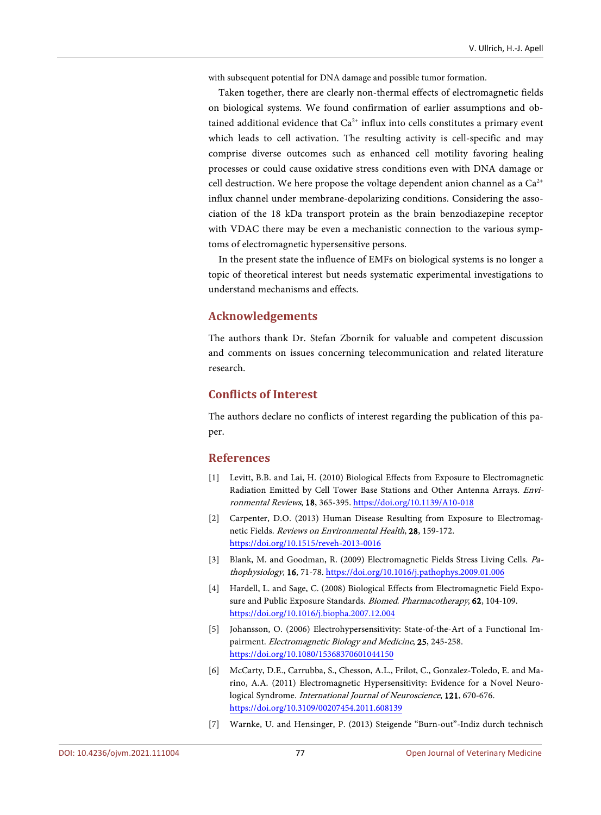with subsequent potential for DNA damage and possible tumor formation.

Taken together, there are clearly non-thermal effects of electromagnetic fields on biological systems. We found confirmation of earlier assumptions and obtained additional evidence that  $Ca^{2+}$  influx into cells constitutes a primary event which leads to cell activation. The resulting activity is cell-specific and may comprise diverse outcomes such as enhanced cell motility favoring healing processes or could cause oxidative stress conditions even with DNA damage or cell destruction. We here propose the voltage dependent anion channel as a  $Ca^{2+}$ influx channel under membrane-depolarizing conditions. Considering the association of the 18 kDa transport protein as the brain benzodiazepine receptor with VDAC there may be even a mechanistic connection to the various symptoms of electromagnetic hypersensitive persons.

In the present state the influence of EMFs on biological systems is no longer a topic of theoretical interest but needs systematic experimental investigations to understand mechanisms and effects.

# **Acknowledgements**

The authors thank Dr. Stefan Zbornik for valuable and competent discussion and comments on issues concerning telecommunication and related literature research.

# **Conflicts of Interest**

The authors declare no conflicts of interest regarding the publication of this paper.

# **References**

- <span id="page-20-0"></span>[1] Levitt, B.B. and Lai, H. (2010) Biological Effects from Exposure to Electromagnetic Radiation Emitted by Cell Tower Base Stations and Other Antenna Arrays. Environmental Reviews, 18, 365-395. <https://doi.org/10.1139/A10-018>
- <span id="page-20-1"></span>[2] Carpenter, D.O. (2013) Human Disease Resulting from Exposure to Electromagnetic Fields. Reviews on Environmental Health, 28, 159-172. <https://doi.org/10.1515/reveh-2013-0016>
- <span id="page-20-2"></span>[3] Blank, M. and Goodman, R. (2009) Electromagnetic Fields Stress Living Cells. Pathophysiology, 16, 71-78. <https://doi.org/10.1016/j.pathophys.2009.01.006>
- <span id="page-20-3"></span>[4] Hardell, L. and Sage, C. (2008) Biological Effects from Electromagnetic Field Exposure and Public Exposure Standards. Biomed. Pharmacotherapy, 62, 104-109. <https://doi.org/10.1016/j.biopha.2007.12.004>
- <span id="page-20-4"></span>[5] Johansson, O. (2006) Electrohypersensitivity: State-of-the-Art of a Functional Impairment. Electromagnetic Biology and Medicine, 25, 245-258. <https://doi.org/10.1080/15368370601044150>
- <span id="page-20-5"></span>[6] McCarty, D.E., Carrubba, S., Chesson, A.L., Frilot, C., Gonzalez-Toledo, E. and Marino, A.A. (2011) Electromagnetic Hypersensitivity: Evidence for a Novel Neurological Syndrome. International Journal of Neuroscience, 121, 670-676. <https://doi.org/10.3109/00207454.2011.608139>
- <span id="page-20-6"></span>[7] Warnke, U. and Hensinger, P. (2013) Steigende "Burn-out"-Indiz durch technisch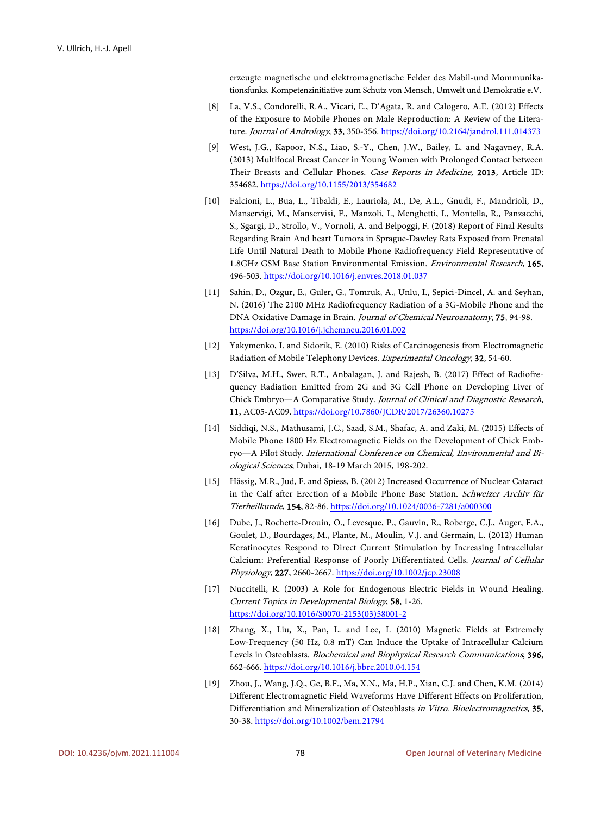erzeugte magnetische und elektromagnetische Felder des Mabil-und Mommunikationsfunks. Kompetenzinitiative zum Schutz von Mensch, Umwelt und Demokratie e.V.

- <span id="page-21-0"></span>[8] La, V.S., Condorelli, R.A., Vicari, E., D'Agata, R. and Calogero, A.E. (2012) Effects of the Exposure to Mobile Phones on Male Reproduction: A Review of the Literature. Journal of Andrology, 33, 350-356. <https://doi.org/10.2164/jandrol.111.014373>
- <span id="page-21-1"></span>[9] West, J.G., Kapoor, N.S., Liao, S.-Y., Chen, J.W., Bailey, L. and Nagavney, R.A. (2013) Multifocal Breast Cancer in Young Women with Prolonged Contact between Their Breasts and Cellular Phones. Case Reports in Medicine, 2013, Article ID: 354682. <https://doi.org/10.1155/2013/354682>
- <span id="page-21-2"></span>[10] Falcioni, L., Bua, L., Tibaldi, E., Lauriola, M., De, A.L., Gnudi, F., Mandrioli, D., Manservigi, M., Manservisi, F., Manzoli, I., Menghetti, I., Montella, R., Panzacchi, S., Sgargi, D., Strollo, V., Vornoli, A. and Belpoggi, F. (2018) Report of Final Results Regarding Brain And heart Tumors in Sprague-Dawley Rats Exposed from Prenatal Life Until Natural Death to Mobile Phone Radiofrequency Field Representative of 1.8GHz GSM Base Station Environmental Emission. *Environmental Research*, 165, 496-503. <https://doi.org/10.1016/j.envres.2018.01.037>
- <span id="page-21-3"></span>[11] Sahin, D., Ozgur, E., Guler, G., Tomruk, A., Unlu, I., Sepici-Dincel, A. and Seyhan, N. (2016) The 2100 MHz Radiofrequency Radiation of a 3G-Mobile Phone and the DNA Oxidative Damage in Brain. Journal of Chemical Neuroanatomy, 75, 94-98. <https://doi.org/10.1016/j.jchemneu.2016.01.002>
- <span id="page-21-4"></span>[12] Yakymenko, I. and Sidorik, E. (2010) Risks of Carcinogenesis from Electromagnetic Radiation of Mobile Telephony Devices. Experimental Oncology, 32, 54-60.
- <span id="page-21-5"></span>[13] D'Silva, M.H., Swer, R.T., Anbalagan, J. and Rajesh, B. (2017) Effect of Radiofrequency Radiation Emitted from 2G and 3G Cell Phone on Developing Liver of Chick Embryo—A Comparative Study. Journal of Clinical and Diagnostic Research, 11, AC05-AC09. <https://doi.org/10.7860/JCDR/2017/26360.10275>
- <span id="page-21-6"></span>[14] Siddiqi, N.S., Mathusami, J.C., Saad, S.M., Shafac, A. and Zaki, M. (2015) Effects of Mobile Phone 1800 Hz Electromagnetic Fields on the Development of Chick Embryo—A Pilot Study. International Conference on Chemical, Environmental and Biological Sciences, Dubai, 18-19 March 2015, 198-202.
- <span id="page-21-7"></span>[15] Hässig, M.R., Jud, F. and Spiess, B. (2012) Increased Occurrence of Nuclear Cataract in the Calf after Erection of a Mobile Phone Base Station. Schweizer Archiv für Tierheilkunde, 154, 82-86. <https://doi.org/10.1024/0036-7281/a000300>
- <span id="page-21-8"></span>[16] Dube, J., Rochette-Drouin, O., Levesque, P., Gauvin, R., Roberge, C.J., Auger, F.A., Goulet, D., Bourdages, M., Plante, M., Moulin, V.J. and Germain, L. (2012) Human Keratinocytes Respond to Direct Current Stimulation by Increasing Intracellular Calcium: Preferential Response of Poorly Differentiated Cells. Journal of Cellular Physiology, 227, 2660-2667. <https://doi.org/10.1002/jcp.23008>
- <span id="page-21-9"></span>[17] Nuccitelli, R. (2003) A Role for Endogenous Electric Fields in Wound Healing. Current Topics in Developmental Biology, 58, 1-26. [https://doi.org/10.1016/S0070-2153\(03\)58001-2](https://doi.org/10.1016/S0070-2153(03)58001-2)
- <span id="page-21-10"></span>[18] Zhang, X., Liu, X., Pan, L. and Lee, I. (2010) Magnetic Fields at Extremely Low-Frequency (50 Hz, 0.8 mT) Can Induce the Uptake of Intracellular Calcium Levels in Osteoblasts. Biochemical and Biophysical Research Communications, 396, 662-666. <https://doi.org/10.1016/j.bbrc.2010.04.154>
- <span id="page-21-11"></span>[19] Zhou, J., Wang, J.Q., Ge, B.F., Ma, X.N., Ma, H.P., Xian, C.J. and Chen, K.M. (2014) Different Electromagnetic Field Waveforms Have Different Effects on Proliferation, Differentiation and Mineralization of Osteoblasts in Vitro. Bioelectromagnetics, 35, 30-38. <https://doi.org/10.1002/bem.21794>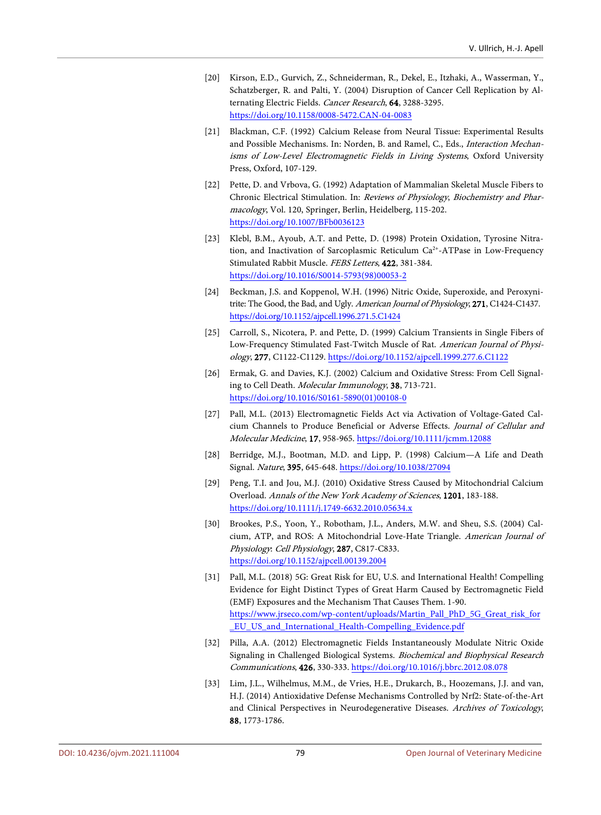- <span id="page-22-0"></span>[20] Kirson, E.D., Gurvich, Z., Schneiderman, R., Dekel, E., Itzhaki, A., Wasserman, Y., Schatzberger, R. and Palti, Y. (2004) Disruption of Cancer Cell Replication by Alternating Electric Fields. Cancer Research, 64, 3288-3295. <https://doi.org/10.1158/0008-5472.CAN-04-0083>
- <span id="page-22-1"></span>[21] Blackman, C.F. (1992) Calcium Release from Neural Tissue: Experimental Results and Possible Mechanisms. In: Norden, B. and Ramel, C., Eds., Interaction Mechanisms of Low-Level Electromagnetic Fields in Living Systems, Oxford University Press, Oxford, 107-129.
- <span id="page-22-2"></span>[22] Pette, D. and Vrbova, G. (1992) Adaptation of Mammalian Skeletal Muscle Fibers to Chronic Electrical Stimulation. In: Reviews of Physiology, Biochemistry and Pharmacology, Vol. 120, Springer, Berlin, Heidelberg, 115-202. <https://doi.org/10.1007/BFb0036123>
- <span id="page-22-3"></span>[23] Klebl, B.M., Ayoub, A.T. and Pette, D. (1998) Protein Oxidation, Tyrosine Nitration, and Inactivation of Sarcoplasmic Reticulum Ca<sup>2+</sup>-ATPase in Low-Frequency Stimulated Rabbit Muscle. FEBS Letters, 422, 381-384. [https://doi.org/10.1016/S0014-5793\(98\)00053-2](https://doi.org/10.1016/S0014-5793(98)00053-2)
- <span id="page-22-4"></span>[24] Beckman, J.S. and Koppenol, W.H. (1996) Nitric Oxide, Superoxide, and Peroxynitrite: The Good, the Bad, and Ugly. American Journal of Physiology, 271, C1424-C1437. <https://doi.org/10.1152/ajpcell.1996.271.5.C1424>
- <span id="page-22-5"></span>[25] Carroll, S., Nicotera, P. and Pette, D. (1999) Calcium Transients in Single Fibers of Low-Frequency Stimulated Fast-Twitch Muscle of Rat. American Journal of Physiology, 277, C1122-C1129. <https://doi.org/10.1152/ajpcell.1999.277.6.C1122>
- <span id="page-22-6"></span>[26] Ermak, G. and Davies, K.J. (2002) Calcium and Oxidative Stress: From Cell Signaling to Cell Death. Molecular Immunology, 38, 713-721. [https://doi.org/10.1016/S0161-5890\(01\)00108-0](https://doi.org/10.1016/S0161-5890(01)00108-0)
- <span id="page-22-7"></span>[27] Pall, M.L. (2013) Electromagnetic Fields Act via Activation of Voltage-Gated Calcium Channels to Produce Beneficial or Adverse Effects. Journal of Cellular and Molecular Medicine, 17, 958-965. <https://doi.org/10.1111/jcmm.12088>
- <span id="page-22-8"></span>[28] Berridge, M.J., Bootman, M.D. and Lipp, P. (1998) Calcium—A Life and Death Signal. Nature, 395, 645-648. <https://doi.org/10.1038/27094>
- <span id="page-22-9"></span>[29] Peng, T.I. and Jou, M.J. (2010) Oxidative Stress Caused by Mitochondrial Calcium Overload. Annals of the New York Academy of Sciences, 1201, 183-188. <https://doi.org/10.1111/j.1749-6632.2010.05634.x>
- <span id="page-22-10"></span>[30] Brookes, P.S., Yoon, Y., Robotham, J.L., Anders, M.W. and Sheu, S.S. (2004) Calcium, ATP, and ROS: A Mitochondrial Love-Hate Triangle. American Journal of Physiology: Cell Physiology, 287, C817-C833. <https://doi.org/10.1152/ajpcell.00139.2004>
- <span id="page-22-11"></span>[31] Pall, M.L. (2018) 5G: Great Risk for EU, U.S. and International Health! Compelling Evidence for Eight Distinct Types of Great Harm Caused by Eectromagnetic Field (EMF) Exposures and the Mechanism That Causes Them. 1-90. [https://www.jrseco.com/wp-content/uploads/Martin\\_Pall\\_PhD\\_5G\\_Great\\_risk\\_for](https://www.jrseco.com/wp-content/uploads/Martin_Pall_PhD_5G_Great_risk_for_EU_US_and_International_Health-Compelling_Evidence.pdf) [\\_EU\\_US\\_and\\_International\\_Health-Compelling\\_Evidence.pdf](https://www.jrseco.com/wp-content/uploads/Martin_Pall_PhD_5G_Great_risk_for_EU_US_and_International_Health-Compelling_Evidence.pdf)
- <span id="page-22-12"></span>[32] Pilla, A.A. (2012) Electromagnetic Fields Instantaneously Modulate Nitric Oxide Signaling in Challenged Biological Systems. Biochemical and Biophysical Research Communications, 426, 330-333. <https://doi.org/10.1016/j.bbrc.2012.08.078>
- <span id="page-22-13"></span>[33] Lim, J.L., Wilhelmus, M.M., de Vries, H.E., Drukarch, B., Hoozemans, J.J. and van, H.J. (2014) Antioxidative Defense Mechanisms Controlled by Nrf2: State-of-the-Art and Clinical Perspectives in Neurodegenerative Diseases. Archives of Toxicology, 88, 1773-1786.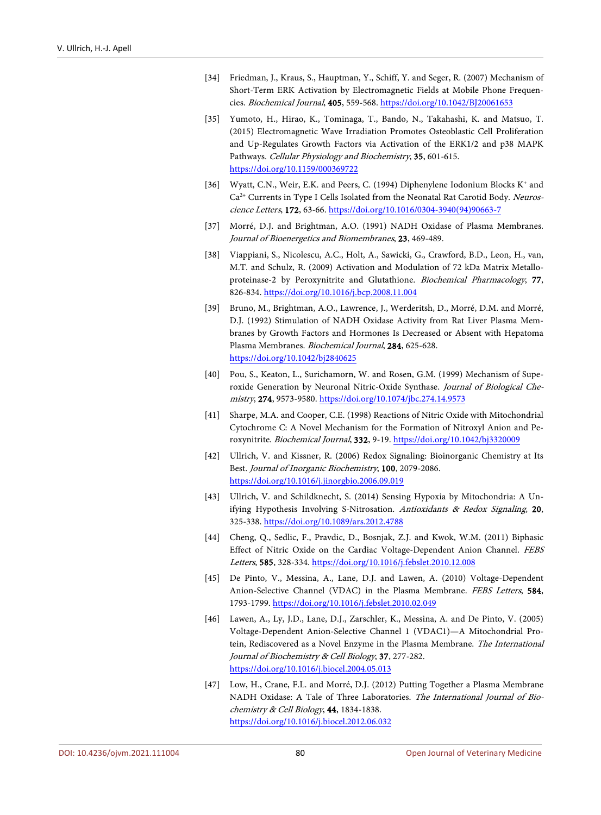- <span id="page-23-0"></span>[34] Friedman, J., Kraus, S., Hauptman, Y., Schiff, Y. and Seger, R. (2007) Mechanism of Short-Term ERK Activation by Electromagnetic Fields at Mobile Phone Frequencies. Biochemical Journal, 405, 559-568. <https://doi.org/10.1042/BJ20061653>
- <span id="page-23-1"></span>[35] Yumoto, H., Hirao, K., Tominaga, T., Bando, N., Takahashi, K. and Matsuo, T. (2015) Electromagnetic Wave Irradiation Promotes Osteoblastic Cell Proliferation and Up-Regulates Growth Factors via Activation of the ERK1/2 and p38 MAPK Pathways. Cellular Physiology and Biochemistry, 35, 601-615. <https://doi.org/10.1159/000369722>
- <span id="page-23-2"></span>[36] Wyatt, C.N., Weir, E.K. and Peers, C. (1994) Diphenylene Iodonium Blocks K+ and Ca<sup>2+</sup> Currents in Type I Cells Isolated from the Neonatal Rat Carotid Body. Neuroscience Letters, 172, 63-66. [https://doi.org/10.1016/0304-3940\(94\)90663-7](https://doi.org/10.1016/0304-3940(94)90663-7)
- <span id="page-23-3"></span>[37] Morré, D.J. and Brightman, A.O. (1991) NADH Oxidase of Plasma Membranes. Journal of Bioenergetics and Biomembranes, 23, 469-489.
- <span id="page-23-4"></span>[38] Viappiani, S., Nicolescu, A.C., Holt, A., Sawicki, G., Crawford, B.D., Leon, H., van, M.T. and Schulz, R. (2009) Activation and Modulation of 72 kDa Matrix Metalloproteinase-2 by Peroxynitrite and Glutathione. Biochemical Pharmacology, 77, 826-834. <https://doi.org/10.1016/j.bcp.2008.11.004>
- <span id="page-23-5"></span>[39] Bruno, M., Brightman, A.O., Lawrence, J., Werderitsh, D., Morré, D.M. and Morré, D.J. (1992) Stimulation of NADH Oxidase Activity from Rat Liver Plasma Membranes by Growth Factors and Hormones Is Decreased or Absent with Hepatoma Plasma Membranes. Biochemical Journal, 284, 625-628. <https://doi.org/10.1042/bj2840625>
- <span id="page-23-6"></span>[40] Pou, S., Keaton, L., Surichamorn, W. and Rosen, G.M. (1999) Mechanism of Superoxide Generation by Neuronal Nitric-Oxide Synthase. Journal of Biological Chemistry, 274, 9573-9580. <https://doi.org/10.1074/jbc.274.14.9573>
- <span id="page-23-7"></span>[41] Sharpe, M.A. and Cooper, C.E. (1998) Reactions of Nitric Oxide with Mitochondrial Cytochrome C: A Novel Mechanism for the Formation of Nitroxyl Anion and Peroxynitrite. Biochemical Journal, 332, 9-19. <https://doi.org/10.1042/bj3320009>
- <span id="page-23-8"></span>[42] Ullrich, V. and Kissner, R. (2006) Redox Signaling: Bioinorganic Chemistry at Its Best. Journal of Inorganic Biochemistry, 100, 2079-2086. <https://doi.org/10.1016/j.jinorgbio.2006.09.019>
- <span id="page-23-9"></span>[43] Ullrich, V. and Schildknecht, S. (2014) Sensing Hypoxia by Mitochondria: A Unifying Hypothesis Involving S-Nitrosation. Antioxidants & Redox Signaling, 20, 325-338. <https://doi.org/10.1089/ars.2012.4788>
- <span id="page-23-10"></span>[44] Cheng, Q., Sedlic, F., Pravdic, D., Bosnjak, Z.J. and Kwok, W.M. (2011) Biphasic Effect of Nitric Oxide on the Cardiac Voltage-Dependent Anion Channel. FEBS Letters, 585, 328-334. <https://doi.org/10.1016/j.febslet.2010.12.008>
- <span id="page-23-11"></span>[45] De Pinto, V., Messina, A., Lane, D.J. and Lawen, A. (2010) Voltage-Dependent Anion-Selective Channel (VDAC) in the Plasma Membrane. FEBS Letters, 584, 1793-1799. <https://doi.org/10.1016/j.febslet.2010.02.049>
- <span id="page-23-12"></span>[46] Lawen, A., Ly, J.D., Lane, D.J., Zarschler, K., Messina, A. and De Pinto, V. (2005) Voltage-Dependent Anion-Selective Channel 1 (VDAC1)—A Mitochondrial Protein, Rediscovered as a Novel Enzyme in the Plasma Membrane. The International Journal of Biochemistry & Cell Biology, 37, 277-282. <https://doi.org/10.1016/j.biocel.2004.05.013>
- <span id="page-23-13"></span>[47] Low, H., Crane, F.L. and Morré, D.J. (2012) Putting Together a Plasma Membrane NADH Oxidase: A Tale of Three Laboratories. The International Journal of Biochemistry & Cell Biology, 44, 1834-1838. <https://doi.org/10.1016/j.biocel.2012.06.032>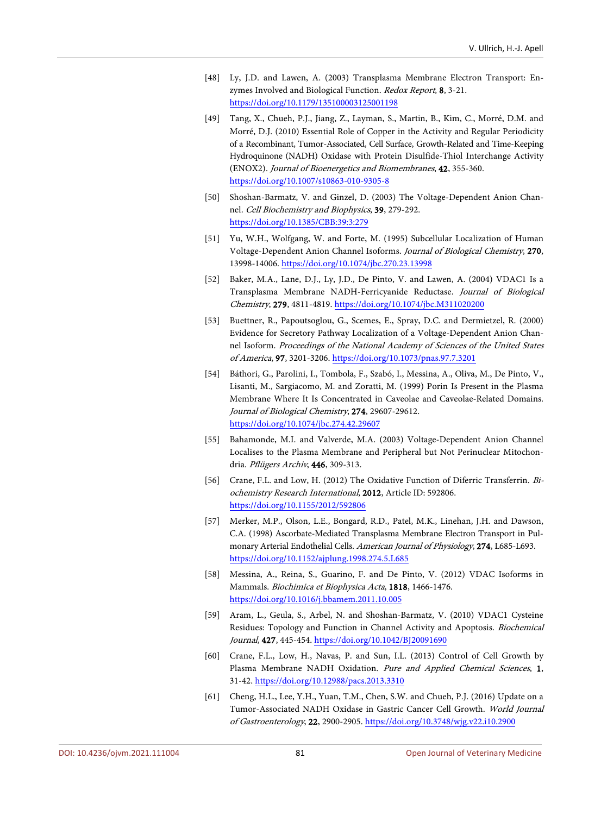- <span id="page-24-0"></span>[48] Ly, J.D. and Lawen, A. (2003) Transplasma Membrane Electron Transport: Enzymes Involved and Biological Function. Redox Report, 8, 3-21. <https://doi.org/10.1179/135100003125001198>
- <span id="page-24-1"></span>[49] Tang, X., Chueh, P.J., Jiang, Z., Layman, S., Martin, B., Kim, C., Morré, D.M. and Morré, D.J. (2010) Essential Role of Copper in the Activity and Regular Periodicity of a Recombinant, Tumor-Associated, Cell Surface, Growth-Related and Time-Keeping Hydroquinone (NADH) Oxidase with Protein Disulfide-Thiol Interchange Activity (ENOX2). Journal of Bioenergetics and Biomembranes, 42, 355-360. <https://doi.org/10.1007/s10863-010-9305-8>
- <span id="page-24-2"></span>[50] Shoshan-Barmatz, V. and Ginzel, D. (2003) The Voltage-Dependent Anion Channel. Cell Biochemistry and Biophysics, 39, 279-292. <https://doi.org/10.1385/CBB:39:3:279>
- <span id="page-24-3"></span>[51] Yu, W.H., Wolfgang, W. and Forte, M. (1995) Subcellular Localization of Human Voltage-Dependent Anion Channel Isoforms. Journal of Biological Chemistry, 270, 13998-14006. <https://doi.org/10.1074/jbc.270.23.13998>
- <span id="page-24-4"></span>[52] Baker, M.A., Lane, D.J., Ly, J.D., De Pinto, V. and Lawen, A. (2004) VDAC1 Is a Transplasma Membrane NADH-Ferricyanide Reductase. Journal of Biological Chemistry, 279, 4811-4819. <https://doi.org/10.1074/jbc.M311020200>
- <span id="page-24-5"></span>[53] Buettner, R., Papoutsoglou, G., Scemes, E., Spray, D.C. and Dermietzel, R. (2000) Evidence for Secretory Pathway Localization of a Voltage-Dependent Anion Channel Isoform. Proceedings of the National Academy of Sciences of the United States of America, 97, 3201-3206. <https://doi.org/10.1073/pnas.97.7.3201>
- <span id="page-24-6"></span>[54] Báthori, G., Parolini, I., Tombola, F., Szabó, I., Messina, A., Oliva, M., De Pinto, V., Lisanti, M., Sargiacomo, M. and Zoratti, M. (1999) Porin Is Present in the Plasma Membrane Where It Is Concentrated in Caveolae and Caveolae-Related Domains. Journal of Biological Chemistry, 274, 29607-29612. <https://doi.org/10.1074/jbc.274.42.29607>
- <span id="page-24-7"></span>[55] Bahamonde, M.I. and Valverde, M.A. (2003) Voltage-Dependent Anion Channel Localises to the Plasma Membrane and Peripheral but Not Perinuclear Mitochondria. Pflügers Archiv, 446, 309-313.
- <span id="page-24-8"></span>[56] Crane, F.L. and Low, H. (2012) The Oxidative Function of Diferric Transferrin. Biochemistry Research International, 2012, Article ID: 592806. <https://doi.org/10.1155/2012/592806>
- <span id="page-24-9"></span>[57] Merker, M.P., Olson, L.E., Bongard, R.D., Patel, M.K., Linehan, J.H. and Dawson, C.A. (1998) Ascorbate-Mediated Transplasma Membrane Electron Transport in Pulmonary Arterial Endothelial Cells. American Journal of Physiology, 274, L685-L693. <https://doi.org/10.1152/ajplung.1998.274.5.L685>
- <span id="page-24-10"></span>[58] Messina, A., Reina, S., Guarino, F. and De Pinto, V. (2012) VDAC Isoforms in Mammals. Biochimica et Biophysica Acta, 1818, 1466-1476. <https://doi.org/10.1016/j.bbamem.2011.10.005>
- <span id="page-24-11"></span>[59] Aram, L., Geula, S., Arbel, N. and Shoshan-Barmatz, V. (2010) VDAC1 Cysteine Residues: Topology and Function in Channel Activity and Apoptosis. Biochemical Journal, 427, 445-454. <https://doi.org/10.1042/BJ20091690>
- <span id="page-24-12"></span>[60] Crane, F.L., Low, H., Navas, P. and Sun, I.L. (2013) Control of Cell Growth by Plasma Membrane NADH Oxidation. Pure and Applied Chemical Sciences, 1, 31-42. <https://doi.org/10.12988/pacs.2013.3310>
- <span id="page-24-13"></span>[61] Cheng, H.L., Lee, Y.H., Yuan, T.M., Chen, S.W. and Chueh, P.J. (2016) Update on a Tumor-Associated NADH Oxidase in Gastric Cancer Cell Growth. World Journal of Gastroenterology, 22, 2900-2905. <https://doi.org/10.3748/wjg.v22.i10.2900>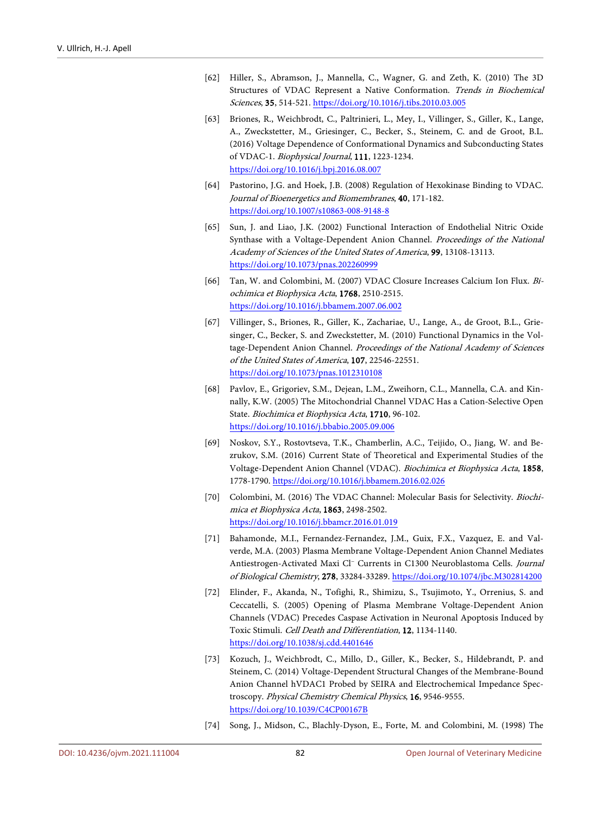- <span id="page-25-0"></span>[62] Hiller, S., Abramson, J., Mannella, C., Wagner, G. and Zeth, K. (2010) The 3D Structures of VDAC Represent a Native Conformation. Trends in Biochemical Sciences, 35, 514-521. <https://doi.org/10.1016/j.tibs.2010.03.005>
- <span id="page-25-1"></span>[63] Briones, R., Weichbrodt, C., Paltrinieri, L., Mey, I., Villinger, S., Giller, K., Lange, A., Zweckstetter, M., Griesinger, C., Becker, S., Steinem, C. and de Groot, B.L. (2016) Voltage Dependence of Conformational Dynamics and Subconducting States of VDAC-1. Biophysical Journal, 111, 1223-1234. <https://doi.org/10.1016/j.bpj.2016.08.007>
- <span id="page-25-2"></span>[64] Pastorino, J.G. and Hoek, J.B. (2008) Regulation of Hexokinase Binding to VDAC. Journal of Bioenergetics and Biomembranes, 40, 171-182. <https://doi.org/10.1007/s10863-008-9148-8>
- <span id="page-25-3"></span>[65] Sun, J. and Liao, J.K. (2002) Functional Interaction of Endothelial Nitric Oxide Synthase with a Voltage-Dependent Anion Channel. Proceedings of the National Academy of Sciences of the United States of America, 99, 13108-13113. <https://doi.org/10.1073/pnas.202260999>
- <span id="page-25-4"></span>[66] Tan, W. and Colombini, M. (2007) VDAC Closure Increases Calcium Ion Flux. Biochimica et Biophysica Acta, 1768, 2510-2515. <https://doi.org/10.1016/j.bbamem.2007.06.002>
- <span id="page-25-5"></span>[67] Villinger, S., Briones, R., Giller, K., Zachariae, U., Lange, A., de Groot, B.L., Griesinger, C., Becker, S. and Zweckstetter, M. (2010) Functional Dynamics in the Voltage-Dependent Anion Channel. Proceedings of the National Academy of Sciences of the United States of America, 107, 22546-22551. <https://doi.org/10.1073/pnas.1012310108>
- <span id="page-25-6"></span>[68] Pavlov, E., Grigoriev, S.M., Dejean, L.M., Zweihorn, C.L., Mannella, C.A. and Kinnally, K.W. (2005) The Mitochondrial Channel VDAC Has a Cation-Selective Open State. Biochimica et Biophysica Acta, 1710, 96-102. <https://doi.org/10.1016/j.bbabio.2005.09.006>
- <span id="page-25-7"></span>[69] Noskov, S.Y., Rostovtseva, T.K., Chamberlin, A.C., Teijido, O., Jiang, W. and Bezrukov, S.M. (2016) Current State of Theoretical and Experimental Studies of the Voltage-Dependent Anion Channel (VDAC). Biochimica et Biophysica Acta, 1858, 1778-1790. <https://doi.org/10.1016/j.bbamem.2016.02.026>
- <span id="page-25-8"></span>[70] Colombini, M. (2016) The VDAC Channel: Molecular Basis for Selectivity. *Biochi*mica et Biophysica Acta, 1863, 2498-2502. <https://doi.org/10.1016/j.bbamcr.2016.01.019>
- <span id="page-25-9"></span>[71] Bahamonde, M.I., Fernandez-Fernandez, J.M., Guix, F.X., Vazquez, E. and Valverde, M.A. (2003) Plasma Membrane Voltage-Dependent Anion Channel Mediates Antiestrogen-Activated Maxi Cl<sup>−</sup> Currents in C1300 Neuroblastoma Cells. Journal of Biological Chemistry, 278, 33284-33289. <https://doi.org/10.1074/jbc.M302814200>
- <span id="page-25-10"></span>[72] Elinder, F., Akanda, N., Tofighi, R., Shimizu, S., Tsujimoto, Y., Orrenius, S. and Ceccatelli, S. (2005) Opening of Plasma Membrane Voltage-Dependent Anion Channels (VDAC) Precedes Caspase Activation in Neuronal Apoptosis Induced by Toxic Stimuli. Cell Death and Differentiation, 12, 1134-1140. <https://doi.org/10.1038/sj.cdd.4401646>
- <span id="page-25-11"></span>[73] Kozuch, J., Weichbrodt, C., Millo, D., Giller, K., Becker, S., Hildebrandt, P. and Steinem, C. (2014) Voltage-Dependent Structural Changes of the Membrane-Bound Anion Channel hVDAC1 Probed by SEIRA and Electrochemical Impedance Spectroscopy. Physical Chemistry Chemical Physics, 16, 9546-9555. <https://doi.org/10.1039/C4CP00167B>
- <span id="page-25-12"></span>[74] Song, J., Midson, C., Blachly-Dyson, E., Forte, M. and Colombini, M. (1998) The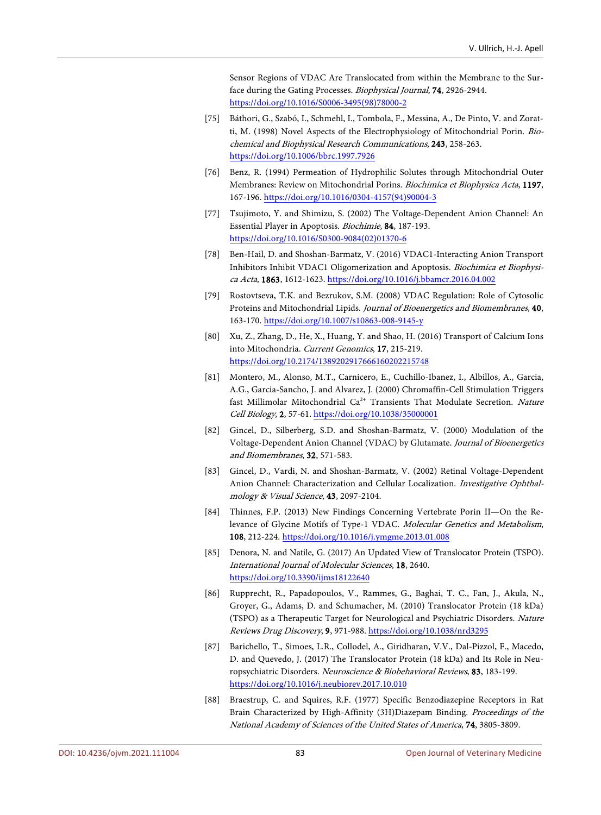Sensor Regions of VDAC Are Translocated from within the Membrane to the Surface during the Gating Processes. Biophysical Journal, 74, 2926-2944. [https://doi.org/10.1016/S0006-3495\(98\)78000-2](https://doi.org/10.1016/S0006-3495(98)78000-2)

- <span id="page-26-0"></span>[75] Báthori, G., Szabó, I., Schmehl, I., Tombola, F., Messina, A., De Pinto, V. and Zoratti, M. (1998) Novel Aspects of the Electrophysiology of Mitochondrial Porin. Biochemical and Biophysical Research Communications, 243, 258-263. <https://doi.org/10.1006/bbrc.1997.7926>
- <span id="page-26-1"></span>[76] Benz, R. (1994) Permeation of Hydrophilic Solutes through Mitochondrial Outer Membranes: Review on Mitochondrial Porins. Biochimica et Biophysica Acta, 1197, 167-196. [https://doi.org/10.1016/0304-4157\(94\)90004-3](https://doi.org/10.1016/0304-4157(94)90004-3)
- <span id="page-26-2"></span>[77] Tsujimoto, Y. and Shimizu, S. (2002) The Voltage-Dependent Anion Channel: An Essential Player in Apoptosis. Biochimie, 84, 187-193. [https://doi.org/10.1016/S0300-9084\(02\)01370-6](https://doi.org/10.1016/S0300-9084(02)01370-6)
- <span id="page-26-3"></span>[78] Ben-Hail, D. and Shoshan-Barmatz, V. (2016) VDAC1-Interacting Anion Transport Inhibitors Inhibit VDAC1 Oligomerization and Apoptosis. Biochimica et Biophysica Acta, 1863, 1612-1623. <https://doi.org/10.1016/j.bbamcr.2016.04.002>
- <span id="page-26-4"></span>[79] Rostovtseva, T.K. and Bezrukov, S.M. (2008) VDAC Regulation: Role of Cytosolic Proteins and Mitochondrial Lipids. Journal of Bioenergetics and Biomembranes, 40, 163-170[. https://doi.org/10.1007/s10863-008-9145-y](https://doi.org/10.1007/s10863-008-9145-y)
- <span id="page-26-5"></span>[80] Xu, Z., Zhang, D., He, X., Huang, Y. and Shao, H. (2016) Transport of Calcium Ions into Mitochondria. Current Genomics, 17, 215-219. <https://doi.org/10.2174/1389202917666160202215748>
- <span id="page-26-6"></span>[81] Montero, M., Alonso, M.T., Carnicero, E., Cuchillo-Ibanez, I., Albillos, A., Garcia, A.G., Garcia-Sancho, J. and Alvarez, J. (2000) Chromaffin-Cell Stimulation Triggers fast Millimolar Mitochondrial  $Ca^{2+}$  Transients That Modulate Secretion. Nature Cell Biology, 2, 57-61. <https://doi.org/10.1038/35000001>
- <span id="page-26-7"></span>[82] Gincel, D., Silberberg, S.D. and Shoshan-Barmatz, V. (2000) Modulation of the Voltage-Dependent Anion Channel (VDAC) by Glutamate. Journal of Bioenergetics and Biomembranes, 32, 571-583.
- <span id="page-26-8"></span>[83] Gincel, D., Vardi, N. and Shoshan-Barmatz, V. (2002) Retinal Voltage-Dependent Anion Channel: Characterization and Cellular Localization. Investigative Ophthalmology & Visual Science, 43, 2097-2104.
- <span id="page-26-9"></span>[84] Thinnes, F.P. (2013) New Findings Concerning Vertebrate Porin II—On the Relevance of Glycine Motifs of Type-1 VDAC. Molecular Genetics and Metabolism, 108, 212-224. <https://doi.org/10.1016/j.ymgme.2013.01.008>
- <span id="page-26-10"></span>[85] Denora, N. and Natile, G. (2017) An Updated View of Translocator Protein (TSPO). International Journal of Molecular Sciences, 18, 2640. <https://doi.org/10.3390/ijms18122640>
- <span id="page-26-11"></span>[86] Rupprecht, R., Papadopoulos, V., Rammes, G., Baghai, T. C., Fan, J., Akula, N., Groyer, G., Adams, D. and Schumacher, M. (2010) Translocator Protein (18 kDa) (TSPO) as a Therapeutic Target for Neurological and Psychiatric Disorders. Nature Reviews Drug Discovery, 9, 971-988. <https://doi.org/10.1038/nrd3295>
- <span id="page-26-12"></span>[87] Barichello, T., Simoes, L.R., Collodel, A., Giridharan, V.V., Dal-Pizzol, F., Macedo, D. and Quevedo, J. (2017) The Translocator Protein (18 kDa) and Its Role in Neuropsychiatric Disorders. Neuroscience & Biobehavioral Reviews, 83, 183-199. <https://doi.org/10.1016/j.neubiorev.2017.10.010>
- <span id="page-26-13"></span>[88] Braestrup, C. and Squires, R.F. (1977) Specific Benzodiazepine Receptors in Rat Brain Characterized by High-Affinity (3H)Diazepam Binding. Proceedings of the National Academy of Sciences of the United States of America, 74, 3805-3809.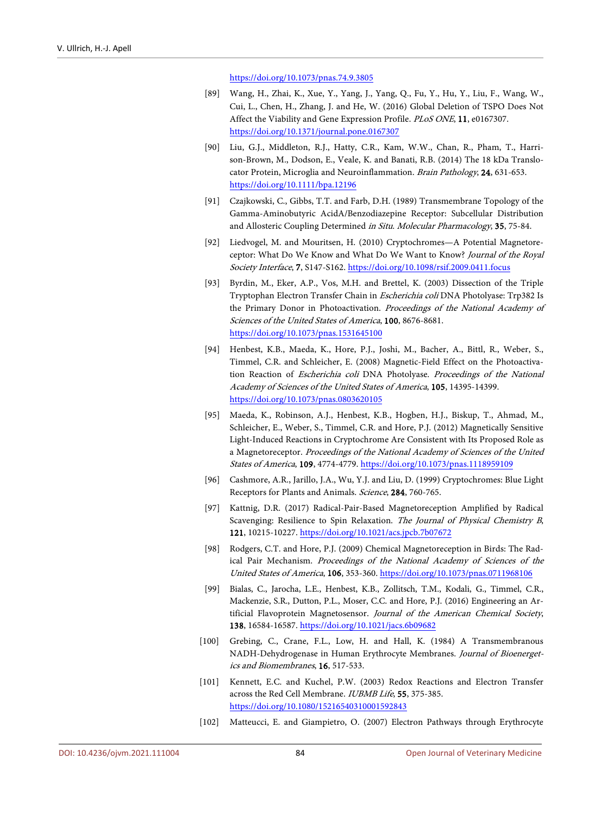<https://doi.org/10.1073/pnas.74.9.3805>

- <span id="page-27-0"></span>[89] Wang, H., Zhai, K., Xue, Y., Yang, J., Yang, Q., Fu, Y., Hu, Y., Liu, F., Wang, W., Cui, L., Chen, H., Zhang, J. and He, W. (2016) Global Deletion of TSPO Does Not Affect the Viability and Gene Expression Profile. PLoS ONE, 11, e0167307. <https://doi.org/10.1371/journal.pone.0167307>
- <span id="page-27-1"></span>[90] Liu, G.J., Middleton, R.J., Hatty, C.R., Kam, W.W., Chan, R., Pham, T., Harrison-Brown, M., Dodson, E., Veale, K. and Banati, R.B. (2014) The 18 kDa Translocator Protein, Microglia and Neuroinflammation. Brain Pathology, 24, 631-653. <https://doi.org/10.1111/bpa.12196>
- <span id="page-27-2"></span>[91] Czajkowski, C., Gibbs, T.T. and Farb, D.H. (1989) Transmembrane Topology of the Gamma-Aminobutyric AcidA/Benzodiazepine Receptor: Subcellular Distribution and Allosteric Coupling Determined in Situ. Molecular Pharmacology, 35, 75-84.
- <span id="page-27-3"></span>[92] Liedvogel, M. and Mouritsen, H. (2010) Cryptochromes—A Potential Magnetoreceptor: What Do We Know and What Do We Want to Know? Journal of the Royal Society Interface, 7, S147-S162. <https://doi.org/10.1098/rsif.2009.0411.focus>
- <span id="page-27-4"></span>[93] Byrdin, M., Eker, A.P., Vos, M.H. and Brettel, K. (2003) Dissection of the Triple Tryptophan Electron Transfer Chain in Escherichia coli DNA Photolyase: Trp382 Is the Primary Donor in Photoactivation. Proceedings of the National Academy of Sciences of the United States of America, 100, 8676-8681. <https://doi.org/10.1073/pnas.1531645100>
- <span id="page-27-5"></span>[94] Henbest, K.B., Maeda, K., Hore, P.J., Joshi, M., Bacher, A., Bittl, R., Weber, S., Timmel, C.R. and Schleicher, E. (2008) Magnetic-Field Effect on the Photoactivation Reaction of Escherichia coli DNA Photolyase. Proceedings of the National Academy of Sciences of the United States of America, 105, 14395-14399. <https://doi.org/10.1073/pnas.0803620105>
- <span id="page-27-6"></span>[95] Maeda, K., Robinson, A.J., Henbest, K.B., Hogben, H.J., Biskup, T., Ahmad, M., Schleicher, E., Weber, S., Timmel, C.R. and Hore, P.J. (2012) Magnetically Sensitive Light-Induced Reactions in Cryptochrome Are Consistent with Its Proposed Role as a Magnetoreceptor. Proceedings of the National Academy of Sciences of the United States of America, 109, 4774-4779. <https://doi.org/10.1073/pnas.1118959109>
- <span id="page-27-7"></span>[96] Cashmore, A.R., Jarillo, J.A., Wu, Y.J. and Liu, D. (1999) Cryptochromes: Blue Light Receptors for Plants and Animals. Science, 284, 760-765.
- <span id="page-27-8"></span>[97] Kattnig, D.R. (2017) Radical-Pair-Based Magnetoreception Amplified by Radical Scavenging: Resilience to Spin Relaxation. The Journal of Physical Chemistry B, 121, 10215-10227. <https://doi.org/10.1021/acs.jpcb.7b07672>
- <span id="page-27-9"></span>[98] Rodgers, C.T. and Hore, P.J. (2009) Chemical Magnetoreception in Birds: The Radical Pair Mechanism. Proceedings of the National Academy of Sciences of the United States of America, 106, 353-360. <https://doi.org/10.1073/pnas.0711968106>
- <span id="page-27-10"></span>[99] Bialas, C., Jarocha, L.E., Henbest, K.B., Zollitsch, T.M., Kodali, G., Timmel, C.R., Mackenzie, S.R., Dutton, P.L., Moser, C.C. and Hore, P.J. (2016) Engineering an Artificial Flavoprotein Magnetosensor. Journal of the American Chemical Society, 138, 16584-16587. <https://doi.org/10.1021/jacs.6b09682>
- <span id="page-27-11"></span>[100] Grebing, C., Crane, F.L., Low, H. and Hall, K. (1984) A Transmembranous NADH-Dehydrogenase in Human Erythrocyte Membranes. Journal of Bioenergetics and Biomembranes, 16, 517-533.
- <span id="page-27-12"></span>[101] Kennett, E.C. and Kuchel, P.W. (2003) Redox Reactions and Electron Transfer across the Red Cell Membrane. IUBMB Life, 55, 375-385. <https://doi.org/10.1080/15216540310001592843>
- <span id="page-27-13"></span>[102] Matteucci, E. and Giampietro, O. (2007) Electron Pathways through Erythrocyte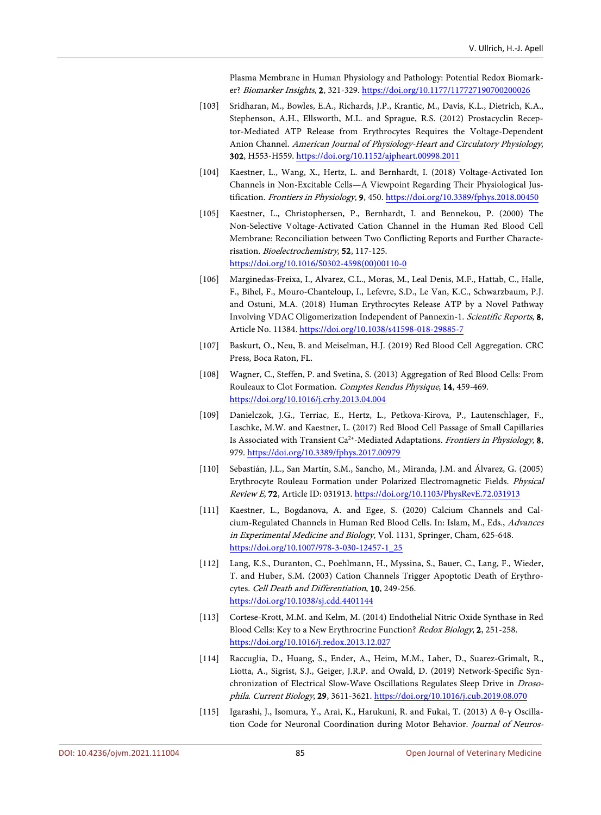Plasma Membrane in Human Physiology and Pathology: Potential Redox Biomarker? Biomarker Insights, 2, 321-329. <https://doi.org/10.1177/117727190700200026>

- <span id="page-28-0"></span>[103] Sridharan, M., Bowles, E.A., Richards, J.P., Krantic, M., Davis, K.L., Dietrich, K.A., Stephenson, A.H., Ellsworth, M.L. and Sprague, R.S. (2012) Prostacyclin Receptor-Mediated ATP Release from Erythrocytes Requires the Voltage-Dependent Anion Channel. American Journal of Physiology-Heart and Circulatory Physiology, 302, H553-H559. <https://doi.org/10.1152/ajpheart.00998.2011>
- <span id="page-28-1"></span>[104] Kaestner, L., Wang, X., Hertz, L. and Bernhardt, I. (2018) Voltage-Activated Ion Channels in Non-Excitable Cells—A Viewpoint Regarding Their Physiological Justification. Frontiers in Physiology, 9, 450. <https://doi.org/10.3389/fphys.2018.00450>
- <span id="page-28-2"></span>[105] Kaestner, L., Christophersen, P., Bernhardt, I. and Bennekou, P. (2000) The Non-Selective Voltage-Activated Cation Channel in the Human Red Blood Cell Membrane: Reconciliation between Two Conflicting Reports and Further Characterisation. Bioelectrochemistry, 52, 117-125. [https://doi.org/10.1016/S0302-4598\(00\)00110-0](https://doi.org/10.1016/S0302-4598(00)00110-0)
- <span id="page-28-3"></span>[106] Marginedas-Freixa, I., Alvarez, C.L., Moras, M., Leal Denis, M.F., Hattab, C., Halle, F., Bihel, F., Mouro-Chanteloup, I., Lefevre, S.D., Le Van, K.C., Schwarzbaum, P.J. and Ostuni, M.A. (2018) Human Erythrocytes Release ATP by a Novel Pathway Involving VDAC Oligomerization Independent of Pannexin-1. Scientific Reports, 8, Article No. 11384. <https://doi.org/10.1038/s41598-018-29885-7>
- <span id="page-28-4"></span>[107] Baskurt, O., Neu, B. and Meiselman, H.J. (2019) Red Blood Cell Aggregation. CRC Press, Boca Raton, FL.
- <span id="page-28-5"></span>[108] Wagner, C., Steffen, P. and Svetina, S. (2013) Aggregation of Red Blood Cells: From Rouleaux to Clot Formation. Comptes Rendus Physique, 14, 459-469. <https://doi.org/10.1016/j.crhy.2013.04.004>
- <span id="page-28-6"></span>[109] Danielczok, J.G., Terriac, E., Hertz, L., Petkova-Kirova, P., Lautenschlager, F., Laschke, M.W. and Kaestner, L. (2017) Red Blood Cell Passage of Small Capillaries Is Associated with Transient Ca<sup>2+</sup>-Mediated Adaptations. Frontiers in Physiology, 8, 979. <https://doi.org/10.3389/fphys.2017.00979>
- <span id="page-28-7"></span>[110] Sebastián, J.L., San Martín, S.M., Sancho, M., Miranda, J.M. and Álvarez, G. (2005) Erythrocyte Rouleau Formation under Polarized Electromagnetic Fields. Physical Review E, 72, Article ID: 031913. <https://doi.org/10.1103/PhysRevE.72.031913>
- <span id="page-28-8"></span>[111] Kaestner, L., Bogdanova, A. and Egee, S. (2020) Calcium Channels and Calcium-Regulated Channels in Human Red Blood Cells. In: Islam, M., Eds., Advances in Experimental Medicine and Biology, Vol. 1131, Springer, Cham, 625-648. [https://doi.org/10.1007/978-3-030-12457-1\\_25](https://doi.org/10.1007/978-3-030-12457-1_25)
- <span id="page-28-9"></span>[112] Lang, K.S., Duranton, C., Poehlmann, H., Myssina, S., Bauer, C., Lang, F., Wieder, T. and Huber, S.M. (2003) Cation Channels Trigger Apoptotic Death of Erythrocytes. Cell Death and Differentiation, 10, 249-256. <https://doi.org/10.1038/sj.cdd.4401144>
- <span id="page-28-10"></span>[113] Cortese-Krott, M.M. and Kelm, M. (2014) Endothelial Nitric Oxide Synthase in Red Blood Cells: Key to a New Erythrocrine Function? Redox Biology, 2, 251-258. <https://doi.org/10.1016/j.redox.2013.12.027>
- <span id="page-28-11"></span>[114] Raccuglia, D., Huang, S., Ender, A., Heim, M.M., Laber, D., Suarez-Grimalt, R., Liotta, A., Sigrist, S.J., Geiger, J.R.P. and Owald, D. (2019) Network-Specific Synchronization of Electrical Slow-Wave Oscillations Regulates Sleep Drive in Drosophila. Current Biology, 29, 3611-3621. <https://doi.org/10.1016/j.cub.2019.08.070>
- <span id="page-28-12"></span>[115] Igarashi, J., Isomura, Y., Arai, K., Harukuni, R. and Fukai, T. (2013) A θ-γ Oscillation Code for Neuronal Coordination during Motor Behavior. Journal of Neuros-